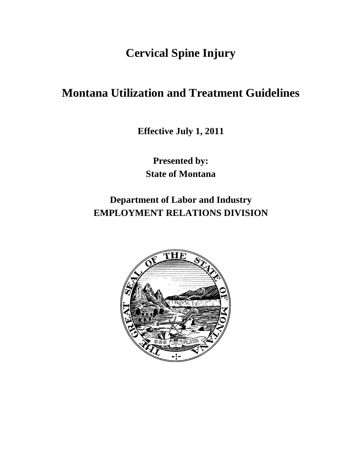**Cervical Spine Injury**

# **Montana Utilization and Treatment Guidelines**

**Effective July 1, 2011**

**Presented by: State of Montana**

**Department of Labor and Industry EMPLOYMENT RELATIONS DIVISION**

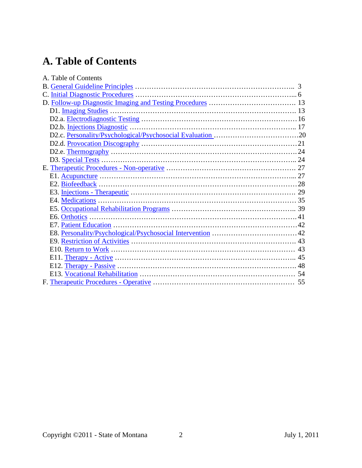# **A. Table of Contents**

| A. Table of Contents |  |
|----------------------|--|
|                      |  |
|                      |  |
|                      |  |
|                      |  |
|                      |  |
|                      |  |
|                      |  |
|                      |  |
|                      |  |
|                      |  |
|                      |  |
|                      |  |
|                      |  |
|                      |  |
|                      |  |
|                      |  |
|                      |  |
|                      |  |
|                      |  |
|                      |  |
|                      |  |
|                      |  |
|                      |  |
|                      |  |
|                      |  |
|                      |  |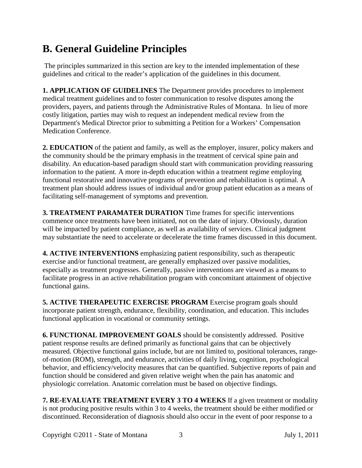# <span id="page-2-0"></span>**B. General Guideline Principles**

The principles summarized in this section are key to the intended implementation of these guidelines and critical to the reader's application of the guidelines in this document.

**1. APPLICATION OF GUIDELINES** The Department provides procedures to implement medical treatment guidelines and to foster communication to resolve disputes among the providers, payers, and patients through the Administrative Rules of Montana. In lieu of more costly litigation, parties may wish to request an independent medical review from the Department's Medical Director prior to submitting a Petition for a Workers' Compensation Medication Conference.

**2. EDUCATION** of the patient and family, as well as the employer, insurer, policy makers and the community should be the primary emphasis in the treatment of cervical spine pain and disability. An education-based paradigm should start with communication providing reassuring information to the patient. A more in-depth education within a treatment regime employing functional restorative and innovative programs of prevention and rehabilitation is optimal. A treatment plan should address issues of individual and/or group patient education as a means of facilitating self-management of symptoms and prevention.

**3. TREATMENT PARAMATER DURATION** Time frames for specific interventions commence once treatments have been initiated, not on the date of injury. Obviously, duration will be impacted by patient compliance, as well as availability of services. Clinical judgment may substantiate the need to accelerate or decelerate the time frames discussed in this document.

**4. ACTIVE INTERVENTIONS** emphasizing patient responsibility, such as therapeutic exercise and/or functional treatment, are generally emphasized over passive modalities, especially as treatment progresses. Generally, passive interventions are viewed as a means to facilitate progress in an active rehabilitation program with concomitant attainment of objective functional gains.

**5. ACTIVE THERAPEUTIC EXERCISE PROGRAM** Exercise program goals should incorporate patient strength, endurance, flexibility, coordination, and education. This includes functional application in vocational or community settings.

**6. FUNCTIONAL IMPROVEMENT GOALS** should be consistently addressed. Positive patient response results are defined primarily as functional gains that can be objectively measured. Objective functional gains include, but are not limited to, positional tolerances, rangeof-motion (ROM), strength, and endurance, activities of daily living, cognition, psychological behavior, and efficiency/velocity measures that can be quantified. Subjective reports of pain and function should be considered and given relative weight when the pain has anatomic and physiologic correlation. Anatomic correlation must be based on objective findings.

**7. RE-EVALUATE TREATMENT EVERY 3 TO 4 WEEKS** If a given treatment or modality is not producing positive results within 3 to 4 weeks, the treatment should be either modified or discontinued. Reconsideration of diagnosis should also occur in the event of poor response to a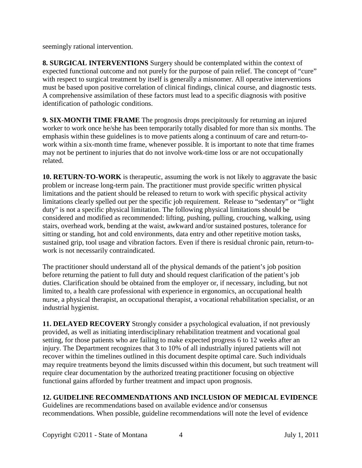seemingly rational intervention.

**8. SURGICAL INTERVENTIONS** Surgery should be contemplated within the context of expected functional outcome and not purely for the purpose of pain relief. The concept of "cure" with respect to surgical treatment by itself is generally a misnomer. All operative interventions must be based upon positive correlation of clinical findings, clinical course, and diagnostic tests. A comprehensive assimilation of these factors must lead to a specific diagnosis with positive identification of pathologic conditions.

**9. SIX-MONTH TIME FRAME** The prognosis drops precipitously for returning an injured worker to work once he/she has been temporarily totally disabled for more than six months. The emphasis within these guidelines is to move patients along a continuum of care and return-towork within a six-month time frame, whenever possible. It is important to note that time frames may not be pertinent to injuries that do not involve work-time loss or are not occupationally related.

**10. RETURN-TO-WORK** is therapeutic, assuming the work is not likely to aggravate the basic problem or increase long-term pain. The practitioner must provide specific written physical limitations and the patient should be released to return to work with specific physical activity limitations clearly spelled out per the specific job requirement. Release to "sedentary" or "light duty" is not a specific physical limitation. The following physical limitations should be considered and modified as recommended: lifting, pushing, pulling, crouching, walking, using stairs, overhead work, bending at the waist, awkward and/or sustained postures, tolerance for sitting or standing, hot and cold environments, data entry and other repetitive motion tasks, sustained grip, tool usage and vibration factors. Even if there is residual chronic pain, return-towork is not necessarily contraindicated.

The practitioner should understand all of the physical demands of the patient's job position before returning the patient to full duty and should request clarification of the patient's job duties. Clarification should be obtained from the employer or, if necessary, including, but not limited to, a health care professional with experience in ergonomics, an occupational health nurse, a physical therapist, an occupational therapist, a vocational rehabilitation specialist, or an industrial hygienist.

**11. DELAYED RECOVERY** Strongly consider a psychological evaluation, if not previously provided, as well as initiating interdisciplinary rehabilitation treatment and vocational goal setting, for those patients who are failing to make expected progress 6 to 12 weeks after an injury. The Department recognizes that 3 to 10% of all industrially injured patients will not recover within the timelines outlined in this document despite optimal care. Such individuals may require treatments beyond the limits discussed within this document, but such treatment will require clear documentation by the authorized treating practitioner focusing on objective functional gains afforded by further treatment and impact upon prognosis.

#### **12. GUIDELINE RECOMMENDATIONS AND INCLUSION OF MEDICAL EVIDENCE**

Guidelines are recommendations based on available evidence and/or consensus recommendations. When possible, guideline recommendations will note the level of evidence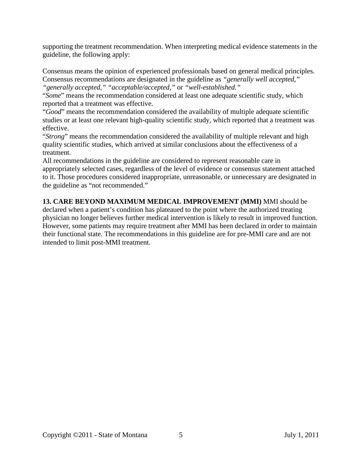supporting the treatment recommendation. When interpreting medical evidence statements in the guideline, the following apply:

Consensus means the opinion of experienced professionals based on general medical principles. Consensus recommendations are designated in the guideline as *"generally well accepted," "generally accepted," "acceptable/accepted,"* or *"well-established."* 

"*Some*" means the recommendation considered at least one adequate scientific study, which reported that a treatment was effective.

"*Good*" means the recommendation considered the availability of multiple adequate scientific studies or at least one relevant high-quality scientific study, which reported that a treatment was effective.

"*Strong*" means the recommendation considered the availability of multiple relevant and high quality scientific studies, which arrived at similar conclusions about the effectiveness of a treatment.

All recommendations in the guideline are considered to represent reasonable care in appropriately selected cases, regardless of the level of evidence or consensus statement attached to it. Those procedures considered inappropriate, unreasonable, or unnecessary are designated in the guideline as "not recommended."

**13. CARE BEYOND MAXIMUM MEDICAL IMPROVEMENT (MMI)** MMI should be declared when a patient's condition has plateaued to the point where the authorized treating physician no longer believes further medical intervention is likely to result in improved function. However, some patients may require treatment after MMI has been declared in order to maintain their functional state. The recommendations in this guideline are for pre-MMI care and are not intended to limit post-MMI treatment.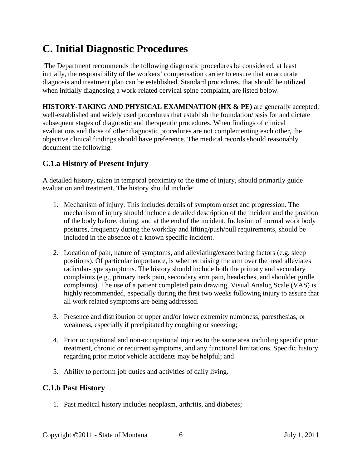# <span id="page-5-0"></span>**C. Initial Diagnostic Procedures**

The Department recommends the following diagnostic procedures be considered, at least initially, the responsibility of the workers' compensation carrier to ensure that an accurate diagnosis and treatment plan can be established. Standard procedures, that should be utilized when initially diagnosing a work-related cervical spine complaint, are listed below.

**HISTORY-TAKING AND PHYSICAL EXAMINATION (HX & PE)** are generally accepted, well-established and widely used procedures that establish the foundation/basis for and dictate subsequent stages of diagnostic and therapeutic procedures. When findings of clinical evaluations and those of other diagnostic procedures are not complementing each other, the objective clinical findings should have preference. The medical records should reasonably document the following.

# **C.1.a History of Present Injury**

A detailed history, taken in temporal proximity to the time of injury, should primarily guide evaluation and treatment. The history should include:

- 1. Mechanism of injury. This includes details of symptom onset and progression. The mechanism of injury should include a detailed description of the incident and the position of the body before, during, and at the end of the incident. Inclusion of normal work body postures, frequency during the workday and lifting/push/pull requirements, should be included in the absence of a known specific incident.
- 2. Location of pain, nature of symptoms, and alleviating/exacerbating factors (e.g. sleep positions). Of particular importance, is whether raising the arm over the head alleviates radicular-type symptoms. The history should include both the primary and secondary complaints (e.g., primary neck pain, secondary arm pain, headaches, and shoulder girdle complaints). The use of a patient completed pain drawing, Visual Analog Scale (VAS) is highly recommended, especially during the first two weeks following injury to assure that all work related symptoms are being addressed.
- 3. Presence and distribution of upper and/or lower extremity numbness, paresthesias, or weakness, especially if precipitated by coughing or sneezing;
- 4. Prior occupational and non-occupational injuries to the same area including specific prior treatment, chronic or recurrent symptoms, and any functional limitations. Specific history regarding prior motor vehicle accidents may be helpful; and
- 5. Ability to perform job duties and activities of daily living.

## **C.1.b Past History**

1. Past medical history includes neoplasm, arthritis, and diabetes;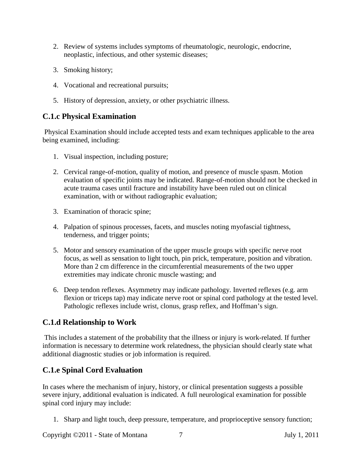- 2. Review of systems includes symptoms of rheumatologic, neurologic, endocrine, neoplastic, infectious, and other systemic diseases;
- 3. Smoking history;
- 4. Vocational and recreational pursuits;
- 5. History of depression, anxiety, or other psychiatric illness.

#### **C.1.c Physical Examination**

Physical Examination should include accepted tests and exam techniques applicable to the area being examined, including:

- 1. Visual inspection, including posture;
- 2. Cervical range-of-motion, quality of motion, and presence of muscle spasm. Motion evaluation of specific joints may be indicated. Range-of-motion should not be checked in acute trauma cases until fracture and instability have been ruled out on clinical examination, with or without radiographic evaluation;
- 3. Examination of thoracic spine;
- 4. Palpation of spinous processes, facets, and muscles noting myofascial tightness, tenderness, and trigger points;
- 5. Motor and sensory examination of the upper muscle groups with specific nerve root focus, as well as sensation to light touch, pin prick, temperature, position and vibration. More than 2 cm difference in the circumferential measurements of the two upper extremities may indicate chronic muscle wasting; and
- 6. Deep tendon reflexes. Asymmetry may indicate pathology. Inverted reflexes (e.g. arm flexion or triceps tap) may indicate nerve root or spinal cord pathology at the tested level. Pathologic reflexes include wrist, clonus, grasp reflex, and Hoffman's sign.

# **C.1.d Relationship to Work**

This includes a statement of the probability that the illness or injury is work-related. If further information is necessary to determine work relatedness, the physician should clearly state what additional diagnostic studies or job information is required.

# **C.1.e Spinal Cord Evaluation**

In cases where the mechanism of injury, history, or clinical presentation suggests a possible severe injury, additional evaluation is indicated. A full neurological examination for possible spinal cord injury may include:

1. Sharp and light touch, deep pressure, temperature, and proprioceptive sensory function;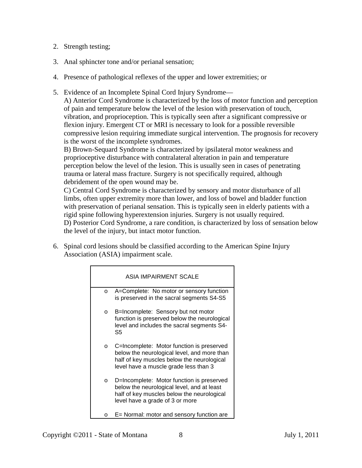- 2. Strength testing;
- 3. Anal sphincter tone and/or perianal sensation;
- 4. Presence of pathological reflexes of the upper and lower extremities; or
- 5. Evidence of an Incomplete Spinal Cord Injury Syndrome—

A) Anterior Cord Syndrome is characterized by the loss of motor function and perception of pain and temperature below the level of the lesion with preservation of touch, vibration, and proprioception. This is typically seen after a significant compressive or flexion injury. Emergent CT or MRI is necessary to look for a possible reversible compressive lesion requiring immediate surgical intervention. The prognosis for recovery is the worst of the incomplete syndromes.

B) Brown-Sequard Syndrome is characterized by ipsilateral motor weakness and proprioceptive disturbance with contralateral alteration in pain and temperature perception below the level of the lesion. This is usually seen in cases of penetrating trauma or lateral mass fracture. Surgery is not specifically required, although debridement of the open wound may be.

C) Central Cord Syndrome is characterized by sensory and motor disturbance of all limbs, often upper extremity more than lower, and loss of bowel and bladder function with preservation of perianal sensation. This is typically seen in elderly patients with a rigid spine following hyperextension injuries. Surgery is not usually required. D) Posterior Cord Syndrome, a rare condition, is characterized by loss of sensation below the level of the injury, but intact motor function.

6. Spinal cord lesions should be classified according to the American Spine Injury Association (ASIA) impairment scale.

|         | ASIA IMPAIRMENT SCALE                                                                                                                                                           |
|---------|---------------------------------------------------------------------------------------------------------------------------------------------------------------------------------|
| $\circ$ | A=Complete: No motor or sensory function<br>is preserved in the sacral segments S4-S5                                                                                           |
| $\circ$ | B=Incomplete: Sensory but not motor<br>function is preserved below the neurological<br>level and includes the sacral segments S4-<br>S5                                         |
| $\circ$ | C=Incomplete: Motor function is preserved<br>below the neurological level, and more than<br>half of key muscles below the neurological<br>level have a muscle grade less than 3 |
| $\circ$ | D=Incomplete: Motor function is preserved<br>below the neurological level, and at least<br>half of key muscles below the neurological<br>level have a grade of 3 or more        |
| ∩       | E= Normal: motor and sensory function are                                                                                                                                       |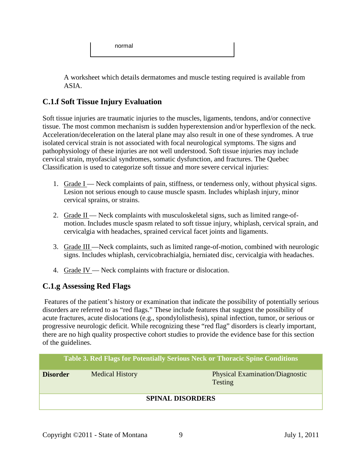normal

A worksheet which details dermatomes and muscle testing required is available from ASIA.

# **C.1.f Soft Tissue Injury Evaluation**

Soft tissue injuries are traumatic injuries to the muscles, ligaments, tendons, and/or connective tissue. The most common mechanism is sudden hyperextension and/or hyperflexion of the neck. Acceleration/deceleration on the lateral plane may also result in one of these syndromes. A true isolated cervical strain is not associated with focal neurological symptoms. The signs and pathophysiology of these injuries are not well understood. Soft tissue injuries may include cervical strain, myofascial syndromes, somatic dysfunction, and fractures. The Quebec Classification is used to categorize soft tissue and more severe cervical injuries:

- 1. Grade I Neck complaints of pain, stiffness, or tenderness only, without physical signs. Lesion not serious enough to cause muscle spasm. Includes whiplash injury, minor cervical sprains, or strains.
- 2. Grade II Neck complaints with musculoskeletal signs, such as limited range-ofmotion. Includes muscle spasm related to soft tissue injury, whiplash, cervical sprain, and cervicalgia with headaches, sprained cervical facet joints and ligaments.
- 3. Grade III —Neck complaints, such as limited range-of-motion, combined with neurologic signs. Includes whiplash, cervicobrachialgia, herniated disc, cervicalgia with headaches.
- 4. Grade IV Neck complaints with fracture or dislocation.

## **C.1.g Assessing Red Flags**

Features of the patient's history or examination that indicate the possibility of potentially serious disorders are referred to as "red flags." These include features that suggest the possibility of acute fractures, acute dislocations (e.g., spondylolisthesis), spinal infection, tumor, or serious or progressive neurologic deficit. While recognizing these "red flag" disorders is clearly important, there are no high quality prospective cohort studies to provide the evidence base for this section of the guidelines.

| <b>Table 3. Red Flags for Potentially Serious Neck or Thoracic Spine Conditions</b> |                        |                                                          |  |  |  |
|-------------------------------------------------------------------------------------|------------------------|----------------------------------------------------------|--|--|--|
| <b>Disorder</b>                                                                     | <b>Medical History</b> | <b>Physical Examination/Diagnostic</b><br><b>Testing</b> |  |  |  |
| <b>SPINAL DISORDERS</b>                                                             |                        |                                                          |  |  |  |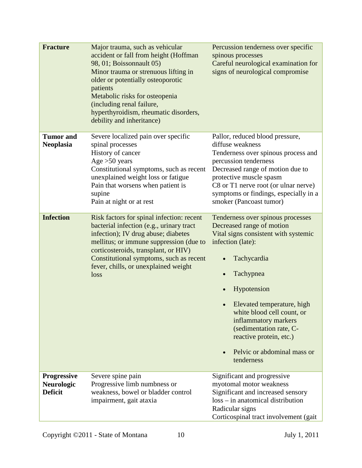| <b>Fracture</b>                                           | Major trauma, such as vehicular<br>accident or fall from height (Hoffman<br>98, 01; Boissonnault 05)<br>Minor trauma or strenuous lifting in<br>older or potentially osteoporotic<br>patients<br>Metabolic risks for osteopenia<br>(including renal failure,<br>hyperthyroidism, rheumatic disorders,<br>debility and inheritance) | Percussion tenderness over specific<br>spinous processes<br>Careful neurological examination for<br>signs of neurological compromise                                                                                                                                                                                                                          |
|-----------------------------------------------------------|------------------------------------------------------------------------------------------------------------------------------------------------------------------------------------------------------------------------------------------------------------------------------------------------------------------------------------|---------------------------------------------------------------------------------------------------------------------------------------------------------------------------------------------------------------------------------------------------------------------------------------------------------------------------------------------------------------|
| <b>Tumor</b> and<br><b>Neoplasia</b>                      | Severe localized pain over specific<br>spinal processes<br>History of cancer<br>Age $>50$ years<br>Constitutional symptoms, such as recent<br>unexplained weight loss or fatigue<br>Pain that worsens when patient is<br>supine<br>Pain at night or at rest                                                                        | Pallor, reduced blood pressure,<br>diffuse weakness<br>Tenderness over spinous process and<br>percussion tenderness<br>Decreased range of motion due to<br>protective muscle spasm<br>C8 or T1 nerve root (or ulnar nerve)<br>symptoms or findings, especially in a<br>smoker (Pancoast tumor)                                                                |
| <b>Infection</b>                                          | Risk factors for spinal infection: recent<br>bacterial infection (e.g., urinary tract<br>infection); IV drug abuse; diabetes<br>mellitus; or immune suppression (due to<br>corticosteroids, transplant, or HIV)<br>Constitutional symptoms, such as recent<br>fever, chills, or unexplained weight<br>loss                         | Tenderness over spinous processes<br>Decreased range of motion<br>Vital signs consistent with systemic<br>infection (late):<br>Tachycardia<br>Tachypnea<br>Hypotension<br>Elevated temperature, high<br>white blood cell count, or<br>inflammatory markers<br>(sedimentation rate, C-<br>reactive protein, etc.)<br>Pelvic or abdominal mass or<br>tenderness |
| <b>Progressive</b><br><b>Neurologic</b><br><b>Deficit</b> | Severe spine pain<br>Progressive limb numbness or<br>weakness, bowel or bladder control<br>impairment, gait ataxia                                                                                                                                                                                                                 | Significant and progressive<br>myotomal motor weakness<br>Significant and increased sensory<br>loss – in anatomical distribution<br>Radicular signs<br>Corticospinal tract involvement (gait                                                                                                                                                                  |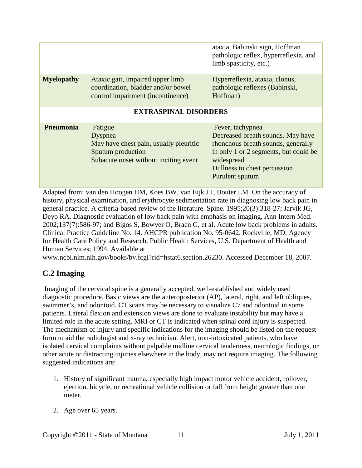|                              |                                                                                                                            | ataxia, Babinski sign, Hoffman<br>pathologic reflex, hyperreflexia, and<br>limb spasticity, etc.)                                                                                                     |  |  |  |
|------------------------------|----------------------------------------------------------------------------------------------------------------------------|-------------------------------------------------------------------------------------------------------------------------------------------------------------------------------------------------------|--|--|--|
| <b>Myelopathy</b>            | Ataxic gait, impaired upper limb<br>coordination, bladder and/or bowel<br>control impairment (incontinence)                | Hyperreflexia, ataxia, clonus,<br>pathologic reflexes (Babinski,<br>Hoffman)                                                                                                                          |  |  |  |
| <b>EXTRASPINAL DISORDERS</b> |                                                                                                                            |                                                                                                                                                                                                       |  |  |  |
| <b>Pneumonia</b>             | Fatigue<br>Dyspnea<br>May have chest pain, usually pleuritic<br>Sputum production<br>Subacute onset without inciting event | Fever, tachypnea<br>Decreased breath sounds. May have<br>rhonchous breath sounds, generally<br>in only 1 or 2 segments, but could be<br>widespread<br>Dullness to chest percussion<br>Purulent sputum |  |  |  |

Adapted from: van den Hoogen HM, Koes BW, van Eijk JT, Bouter LM. On the accuracy of history, physical examination, and erythrocyte sedimentation rate in diagnosing low back pain in general practice. A criteria-based review of the literature. Spine. 1995;20(3):318-27; Jarvik JG, Deyo RA. Diagnostic evaluation of low back pain with emphasis on imaging. Ann Intern Med. 2002;137(7):586-97; and Bigos S, Bowyer O, Braen G, et al. Acute low back problems in adults. Clinical Practice Guideline No. 14. AHCPR publication No. 95-0642. Rockville, MD: Agency for Health Care Policy and Research, Public Health Services, U.S. Department of Health and Human Services; 1994. Available at

www.ncbi.nlm.nih.gov/books/bv.fcgi?rid=hstat6.section.26230. Accessed December 18, 2007.

## **C.2 Imaging**

Imaging of the cervical spine is a generally accepted, well-established and widely used diagnostic procedure. Basic views are the anteroposterior (AP), lateral, right, and left obliques, swimmer's, and odontoid. CT scans may be necessary to visualize C7 and odontoid in some patients. Lateral flexion and extension views are done to evaluate instability but may have a limited role in the acute setting. MRI or CT is indicated when spinal cord injury is suspected. The mechanism of injury and specific indications for the imaging should be listed on the request form to aid the radiologist and x-ray technician. Alert, non-intoxicated patients, who have isolated cervical complaints without palpable midline cervical tenderness, neurologic findings, or other acute or distracting injuries elsewhere in the body, may not require imaging. The following suggested indications are:

- 1. History of significant trauma, especially high impact motor vehicle accident, rollover, ejection, bicycle, or recreational vehicle collision or fall from height greater than one meter.
- 2. Age over 65 years.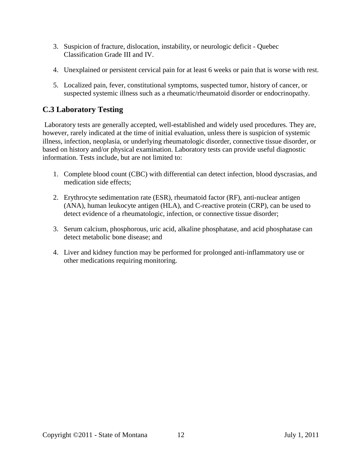- 3. Suspicion of fracture, dislocation, instability, or neurologic deficit Quebec Classification Grade III and IV.
- 4. Unexplained or persistent cervical pain for at least 6 weeks or pain that is worse with rest.
- 5. Localized pain, fever, constitutional symptoms, suspected tumor, history of cancer, or suspected systemic illness such as a rheumatic/rheumatoid disorder or endocrinopathy.

## **C.3 Laboratory Testing**

Laboratory tests are generally accepted, well-established and widely used procedures. They are, however, rarely indicated at the time of initial evaluation, unless there is suspicion of systemic illness, infection, neoplasia, or underlying rheumatologic disorder, connective tissue disorder, or based on history and/or physical examination. Laboratory tests can provide useful diagnostic information. Tests include, but are not limited to:

- 1. Complete blood count (CBC) with differential can detect infection, blood dyscrasias, and medication side effects;
- 2. Erythrocyte sedimentation rate (ESR), rheumatoid factor (RF), anti-nuclear antigen (ANA), human leukocyte antigen (HLA), and C-reactive protein (CRP), can be used to detect evidence of a rheumatologic, infection, or connective tissue disorder;
- 3. Serum calcium, phosphorous, uric acid, alkaline phosphatase, and acid phosphatase can detect metabolic bone disease; and
- 4. Liver and kidney function may be performed for prolonged anti-inflammatory use or other medications requiring monitoring.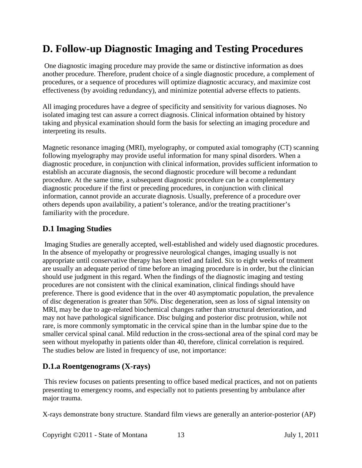# <span id="page-12-0"></span>**D. Follow-up Diagnostic Imaging and Testing Procedures**

One diagnostic imaging procedure may provide the same or distinctive information as does another procedure. Therefore, prudent choice of a single diagnostic procedure, a complement of procedures, or a sequence of procedures will optimize diagnostic accuracy, and maximize cost effectiveness (by avoiding redundancy), and minimize potential adverse effects to patients.

All imaging procedures have a degree of specificity and sensitivity for various diagnoses. No isolated imaging test can assure a correct diagnosis. Clinical information obtained by history taking and physical examination should form the basis for selecting an imaging procedure and interpreting its results.

Magnetic resonance imaging (MRI), myelography, or computed axial tomography (CT) scanning following myelography may provide useful information for many spinal disorders. When a diagnostic procedure, in conjunction with clinical information, provides sufficient information to establish an accurate diagnosis, the second diagnostic procedure will become a redundant procedure. At the same time, a subsequent diagnostic procedure can be a complementary diagnostic procedure if the first or preceding procedures, in conjunction with clinical information, cannot provide an accurate diagnosis. Usually, preference of a procedure over others depends upon availability, a patient's tolerance, and/or the treating practitioner's familiarity with the procedure.

#### <span id="page-12-1"></span>**D.1 Imaging Studies**

Imaging Studies are generally accepted, well-established and widely used diagnostic procedures. In the absence of myelopathy or progressive neurological changes, imaging usually is not appropriate until conservative therapy has been tried and failed. Six to eight weeks of treatment are usually an adequate period of time before an imaging procedure is in order, but the clinician should use judgment in this regard. When the findings of the diagnostic imaging and testing procedures are not consistent with the clinical examination, clinical findings should have preference. There is good evidence that in the over 40 asymptomatic population, the prevalence of disc degeneration is greater than 50%. Disc degeneration, seen as loss of signal intensity on MRI, may be due to age-related biochemical changes rather than structural deterioration, and may not have pathological significance. Disc bulging and posterior disc protrusion, while not rare, is more commonly symptomatic in the cervical spine than in the lumbar spine due to the smaller cervical spinal canal. Mild reduction in the cross-sectional area of the spinal cord may be seen without myelopathy in patients older than 40, therefore, clinical correlation is required. The studies below are listed in frequency of use, not importance:

#### **D.1.a Roentgenograms (X-rays)**

This review focuses on patients presenting to office based medical practices, and not on patients presenting to emergency rooms, and especially not to patients presenting by ambulance after major trauma.

X-rays demonstrate bony structure. Standard film views are generally an anterior-posterior (AP)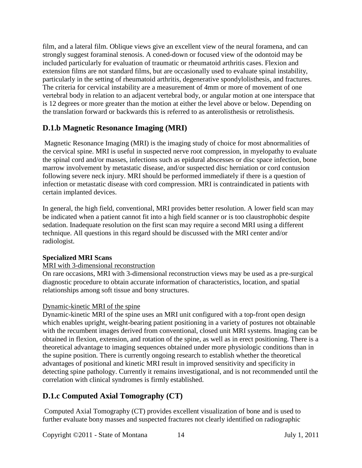film, and a lateral film. Oblique views give an excellent view of the neural foramena, and can strongly suggest foraminal stenosis. A coned-down or focused view of the odontoid may be included particularly for evaluation of traumatic or rheumatoid arthritis cases. Flexion and extension films are not standard films, but are occasionally used to evaluate spinal instability, particularly in the setting of rheumatoid arthritis, degenerative spondylolisthesis, and fractures. The criteria for cervical instability are a measurement of 4mm or more of movement of one vertebral body in relation to an adjacent vertebral body, or angular motion at one interspace that is 12 degrees or more greater than the motion at either the level above or below. Depending on the translation forward or backwards this is referred to as anterolisthesis or retrolisthesis.

## **D.1.b Magnetic Resonance Imaging (MRI)**

Magnetic Resonance Imaging (MRI) is the imaging study of choice for most abnormalities of the cervical spine. MRI is useful in suspected nerve root compression, in myelopathy to evaluate the spinal cord and/or masses, infections such as epidural abscesses or disc space infection, bone marrow involvement by metastatic disease, and/or suspected disc herniation or cord contusion following severe neck injury. MRI should be performed immediately if there is a question of infection or metastatic disease with cord compression. MRI is contraindicated in patients with certain implanted devices.

In general, the high field, conventional, MRI provides better resolution. A lower field scan may be indicated when a patient cannot fit into a high field scanner or is too claustrophobic despite sedation. Inadequate resolution on the first scan may require a second MRI using a different technique. All questions in this regard should be discussed with the MRI center and/or radiologist.

#### **Specialized MRI Scans**

#### MRI with 3-dimensional reconstruction

On rare occasions, MRI with 3-dimensional reconstruction views may be used as a pre-surgical diagnostic procedure to obtain accurate information of characteristics, location, and spatial relationships among soft tissue and bony structures.

#### Dynamic-kinetic MRI of the spine

Dynamic-kinetic MRI of the spine uses an MRI unit configured with a top-front open design which enables upright, weight-bearing patient positioning in a variety of postures not obtainable with the recumbent images derived from conventional, closed unit MRI systems. Imaging can be obtained in flexion, extension, and rotation of the spine, as well as in erect positioning. There is a theoretical advantage to imaging sequences obtained under more physiologic conditions than in the supine position. There is currently ongoing research to establish whether the theoretical advantages of positional and kinetic MRI result in improved sensitivity and specificity in detecting spine pathology. Currently it remains investigational, and is not recommended until the correlation with clinical syndromes is firmly established.

## **D.1.c Computed Axial Tomography (CT)**

Computed Axial Tomography (CT) provides excellent visualization of bone and is used to further evaluate bony masses and suspected fractures not clearly identified on radiographic

Copyright ©2011 - State of Montana 14 July 1, 2011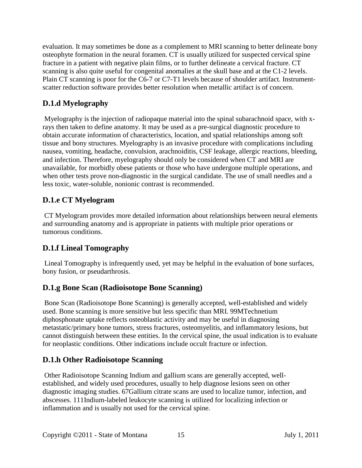evaluation. It may sometimes be done as a complement to MRI scanning to better delineate bony osteophyte formation in the neural foramen. CT is usually utilized for suspected cervical spine fracture in a patient with negative plain films, or to further delineate a cervical fracture. CT scanning is also quite useful for congenital anomalies at the skull base and at the C1-2 levels. Plain CT scanning is poor for the C6-7 or C7-T1 levels because of shoulder artifact. Instrumentscatter reduction software provides better resolution when metallic artifact is of concern.

## **D.1.d Myelography**

Myelography is the injection of radiopaque material into the spinal subarachnoid space, with xrays then taken to define anatomy. It may be used as a pre-surgical diagnostic procedure to obtain accurate information of characteristics, location, and spatial relationships among soft tissue and bony structures. Myelography is an invasive procedure with complications including nausea, vomiting, headache, convulsion, arachnoiditis, CSF leakage, allergic reactions, bleeding, and infection. Therefore, myelography should only be considered when CT and MRI are unavailable, for morbidly obese patients or those who have undergone multiple operations, and when other tests prove non-diagnostic in the surgical candidate. The use of small needles and a less toxic, water-soluble, nonionic contrast is recommended.

## **D.1.e CT Myelogram**

CT Myelogram provides more detailed information about relationships between neural elements and surrounding anatomy and is appropriate in patients with multiple prior operations or tumorous conditions.

## **D.1.f Lineal Tomography**

Lineal Tomography is infrequently used, yet may be helpful in the evaluation of bone surfaces, bony fusion, or pseudarthrosis.

## **D.1.g Bone Scan (Radioisotope Bone Scanning)**

Bone Scan (Radioisotope Bone Scanning) is generally accepted, well-established and widely used. Bone scanning is more sensitive but less specific than MRI. 99MTechnetium diphosphonate uptake reflects osteoblastic activity and may be useful in diagnosing metastatic/primary bone tumors, stress fractures, osteomyelitis, and inflammatory lesions, but cannot distinguish between these entities. In the cervical spine, the usual indication is to evaluate for neoplastic conditions. Other indications include occult fracture or infection.

## **D.1.h Other Radioisotope Scanning**

Other Radioisotope Scanning Indium and gallium scans are generally accepted, wellestablished, and widely used procedures, usually to help diagnose lesions seen on other diagnostic imaging studies. 67Gallium citrate scans are used to localize tumor, infection, and abscesses. 111Indium-labeled leukocyte scanning is utilized for localizing infection or inflammation and is usually not used for the cervical spine.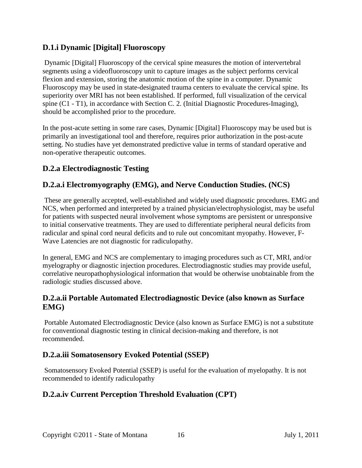## **D.1.i Dynamic [Digital] Fluoroscopy**

Dynamic [Digital] Fluoroscopy of the cervical spine measures the motion of intervertebral segments using a videofluoroscopy unit to capture images as the subject performs cervical flexion and extension, storing the anatomic motion of the spine in a computer. Dynamic Fluoroscopy may be used in state-designated trauma centers to evaluate the cervical spine. Its superiority over MRI has not been established. If performed, full visualization of the cervical spine (C1 - T1), in accordance with Section C. 2. (Initial Diagnostic Procedures-Imaging), should be accomplished prior to the procedure.

In the post-acute setting in some rare cases, Dynamic [Digital] Fluoroscopy may be used but is primarily an investigational tool and therefore, requires prior authorization in the post-acute setting. No studies have yet demonstrated predictive value in terms of standard operative and non-operative therapeutic outcomes.

## <span id="page-15-0"></span>**D.2.a Electrodiagnostic Testing**

## **D.2.a.i Electromyography (EMG), and Nerve Conduction Studies. (NCS)**

These are generally accepted, well-established and widely used diagnostic procedures. EMG and NCS, when performed and interpreted by a trained physician/electrophysiologist, may be useful for patients with suspected neural involvement whose symptoms are persistent or unresponsive to initial conservative treatments. They are used to differentiate peripheral neural deficits from radicular and spinal cord neural deficits and to rule out concomitant myopathy. However, F-Wave Latencies are not diagnostic for radiculopathy.

In general, EMG and NCS are complementary to imaging procedures such as CT, MRI, and/or myelography or diagnostic injection procedures. Electrodiagnostic studies may provide useful, correlative neuropathophysiological information that would be otherwise unobtainable from the radiologic studies discussed above.

#### **D.2.a.ii Portable Automated Electrodiagnostic Device (also known as Surface EMG)**

Portable Automated Electrodiagnostic Device (also known as Surface EMG) is not a substitute for conventional diagnostic testing in clinical decision-making and therefore, is not recommended.

## **D.2.a.iii Somatosensory Evoked Potential (SSEP)**

Somatosensory Evoked Potential (SSEP) is useful for the evaluation of myelopathy. It is not recommended to identify radiculopathy

## **D.2.a.iv Current Perception Threshold Evaluation (CPT)**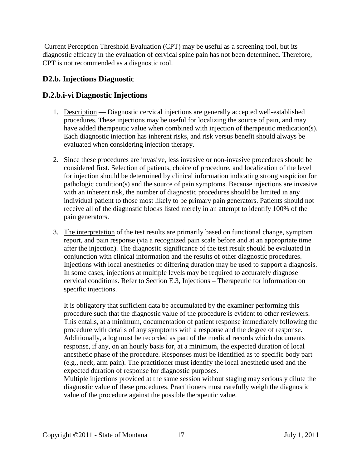Current Perception Threshold Evaluation (CPT) may be useful as a screening tool, but its diagnostic efficacy in the evaluation of cervical spine pain has not been determined. Therefore, CPT is not recommended as a diagnostic tool.

## <span id="page-16-0"></span>**D2.b. Injections Diagnostic**

## **D.2.b.i-vi Diagnostic Injections**

- 1. Description Diagnostic cervical injections are generally accepted well-established procedures. These injections may be useful for localizing the source of pain, and may have added therapeutic value when combined with injection of therapeutic medication(s). Each diagnostic injection has inherent risks, and risk versus benefit should always be evaluated when considering injection therapy.
- 2. Since these procedures are invasive, less invasive or non-invasive procedures should be considered first. Selection of patients, choice of procedure, and localization of the level for injection should be determined by clinical information indicating strong suspicion for pathologic condition(s) and the source of pain symptoms. Because injections are invasive with an inherent risk, the number of diagnostic procedures should be limited in any individual patient to those most likely to be primary pain generators. Patients should not receive all of the diagnostic blocks listed merely in an attempt to identify 100% of the pain generators.
- 3. The interpretation of the test results are primarily based on functional change, symptom report, and pain response (via a recognized pain scale before and at an appropriate time after the injection). The diagnostic significance of the test result should be evaluated in conjunction with clinical information and the results of other diagnostic procedures. Injections with local anesthetics of differing duration may be used to support a diagnosis. In some cases, injections at multiple levels may be required to accurately diagnose cervical conditions. Refer to Section E.3, Injections – Therapeutic for information on specific injections.

It is obligatory that sufficient data be accumulated by the examiner performing this procedure such that the diagnostic value of the procedure is evident to other reviewers. This entails, at a minimum, documentation of patient response immediately following the procedure with details of any symptoms with a response and the degree of response. Additionally, a log must be recorded as part of the medical records which documents response, if any, on an hourly basis for, at a minimum, the expected duration of local anesthetic phase of the procedure. Responses must be identified as to specific body part (e.g., neck, arm pain). The practitioner must identify the local anesthetic used and the expected duration of response for diagnostic purposes.

Multiple injections provided at the same session without staging may seriously dilute the diagnostic value of these procedures. Practitioners must carefully weigh the diagnostic value of the procedure against the possible therapeutic value.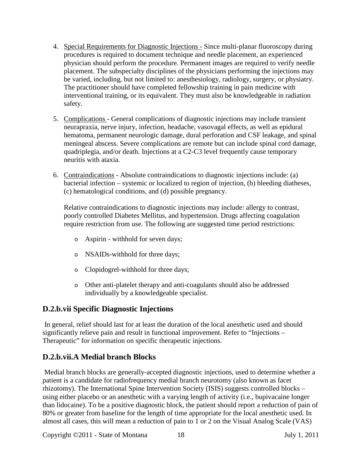- 4. Special Requirements for Diagnostic Injections Since multi-planar fluoroscopy during procedures is required to document technique and needle placement, an experienced physician should perform the procedure. Permanent images are required to verify needle placement. The subspecialty disciplines of the physicians performing the injections may be varied, including, but not limited to: anesthesiology, radiology, surgery, or physiatry. The practitioner should have completed fellowship training in pain medicine with interventional training, or its equivalent. They must also be knowledgeable in radiation safety.
- 5. Complications General complications of diagnostic injections may include transient neurapraxia, nerve injury, infection, headache, vasovagal effects, as well as epidural hematoma, permanent neurologic damage, dural perforation and CSF leakage, and spinal meningeal abscess. Severe complications are remote but can include spinal cord damage, quadriplegia, and/or death. Injections at a C2-C3 level frequently cause temporary neuritis with ataxia.
- 6. Contraindications Absolute contraindications to diagnostic injections include: (a) bacterial infection – systemic or localized to region of injection, (b) bleeding diatheses, (c) hematological conditions, and (d) possible pregnancy.

Relative contraindications to diagnostic injections may include: allergy to contrast, poorly controlled Diabetes Mellitus, and hypertension. Drugs affecting coagulation require restriction from use. The following are suggested time period restrictions:

- o Aspirin withhold for seven days;
- o NSAIDs-withhold for three days;
- o Clopidogrel-withhold for three days;
- o Other anti-platelet therapy and anti-coagulants should also be addressed individually by a knowledgeable specialist.

#### **D.2.b.vii Specific Diagnostic Injections**

In general, relief should last for at least the duration of the local anesthetic used and should significantly relieve pain and result in functional improvement. Refer to "Injections – Therapeutic" for information on specific therapeutic injections.

#### **D.2.b.vii.A Medial branch Blocks**

Medial branch blocks are generally-accepted diagnostic injections, used to determine whether a patient is a candidate for radiofrequency medial branch neurotomy (also known as facet rhizotomy). The International Spine Intervention Society (ISIS) suggests controlled blocks – using either placebo or an anesthetic with a varying length of activity (i.e., bupivacaine longer than lidocaine). To be a positive diagnostic block, the patient should report a reduction of pain of 80% or greater from baseline for the length of time appropriate for the local anesthetic used. In almost all cases, this will mean a reduction of pain to 1 or 2 on the Visual Analog Scale (VAS)

Copyright ©2011 - State of Montana 18 July 1, 2011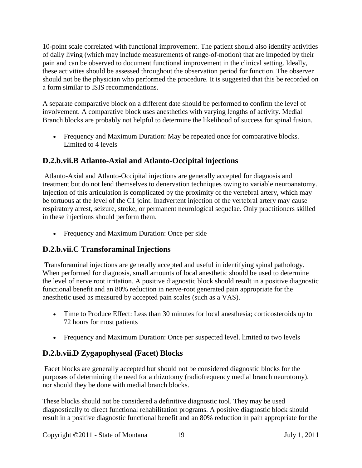10-point scale correlated with functional improvement. The patient should also identify activities of daily living (which may include measurements of range-of-motion) that are impeded by their pain and can be observed to document functional improvement in the clinical setting. Ideally, these activities should be assessed throughout the observation period for function. The observer should not be the physician who performed the procedure. It is suggested that this be recorded on a form similar to ISIS recommendations.

A separate comparative block on a different date should be performed to confirm the level of involvement. A comparative block uses anesthetics with varying lengths of activity. Medial Branch blocks are probably not helpful to determine the likelihood of success for spinal fusion.

• Frequency and Maximum Duration: May be repeated once for comparative blocks. Limited to 4 levels

# **D.2.b.vii.B Atlanto-Axial and Atlanto-Occipital injections**

Atlanto-Axial and Atlanto-Occipital injections are generally accepted for diagnosis and treatment but do not lend themselves to denervation techniques owing to variable neuroanatomy. Injection of this articulation is complicated by the proximity of the vertebral artery, which may be tortuous at the level of the C1 joint. Inadvertent injection of the vertebral artery may cause respiratory arrest, seizure, stroke, or permanent neurological sequelae. Only practitioners skilled in these injections should perform them.

• Frequency and Maximum Duration: Once per side

# **D.2.b.vii.C Transforaminal Injections**

Transforaminal injections are generally accepted and useful in identifying spinal pathology. When performed for diagnosis, small amounts of local anesthetic should be used to determine the level of nerve root irritation. A positive diagnostic block should result in a positive diagnostic functional benefit and an 80% reduction in nerve-root generated pain appropriate for the anesthetic used as measured by accepted pain scales (such as a VAS).

- Time to Produce Effect: Less than 30 minutes for local anesthesia; corticosteroids up to 72 hours for most patients
- Frequency and Maximum Duration: Once per suspected level. limited to two levels

# **D.2.b.vii.D Zygapophyseal (Facet) Blocks**

Facet blocks are generally accepted but should not be considered diagnostic blocks for the purposes of determining the need for a rhizotomy (radiofrequency medial branch neurotomy), nor should they be done with medial branch blocks.

These blocks should not be considered a definitive diagnostic tool. They may be used diagnostically to direct functional rehabilitation programs. A positive diagnostic block should result in a positive diagnostic functional benefit and an 80% reduction in pain appropriate for the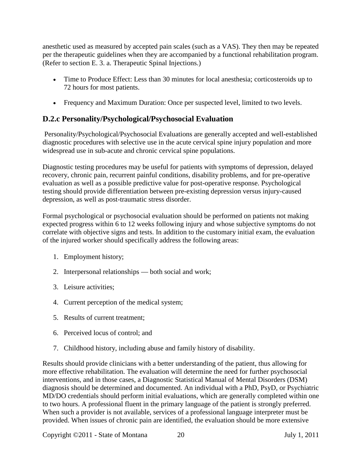anesthetic used as measured by accepted pain scales (such as a VAS). They then may be repeated per the therapeutic guidelines when they are accompanied by a functional rehabilitation program. (Refer to section E. 3. a. Therapeutic Spinal Injections.)

- Time to Produce Effect: Less than 30 minutes for local anesthesia; corticosteroids up to 72 hours for most patients.
- <span id="page-19-0"></span>• Frequency and Maximum Duration: Once per suspected level, limited to two levels.

# **D.2.c Personality/Psychological/Psychosocial Evaluation**

Personality/Psychological/Psychosocial Evaluations are generally accepted and well-established diagnostic procedures with selective use in the acute cervical spine injury population and more widespread use in sub-acute and chronic cervical spine populations.

Diagnostic testing procedures may be useful for patients with symptoms of depression, delayed recovery, chronic pain, recurrent painful conditions, disability problems, and for pre-operative evaluation as well as a possible predictive value for post-operative response. Psychological testing should provide differentiation between pre-existing depression versus injury-caused depression, as well as post-traumatic stress disorder.

Formal psychological or psychosocial evaluation should be performed on patients not making expected progress within 6 to 12 weeks following injury and whose subjective symptoms do not correlate with objective signs and tests. In addition to the customary initial exam, the evaluation of the injured worker should specifically address the following areas:

- 1. Employment history;
- 2. Interpersonal relationships both social and work;
- 3. Leisure activities;
- 4. Current perception of the medical system;
- 5. Results of current treatment;
- 6. Perceived locus of control; and
- 7. Childhood history, including abuse and family history of disability.

Results should provide clinicians with a better understanding of the patient, thus allowing for more effective rehabilitation. The evaluation will determine the need for further psychosocial interventions, and in those cases, a Diagnostic Statistical Manual of Mental Disorders (DSM) diagnosis should be determined and documented. An individual with a PhD, PsyD, or Psychiatric MD/DO credentials should perform initial evaluations, which are generally completed within one to two hours. A professional fluent in the primary language of the patient is strongly preferred. When such a provider is not available, services of a professional language interpreter must be provided. When issues of chronic pain are identified, the evaluation should be more extensive

Copyright ©2011 - State of Montana 20 July 1, 2011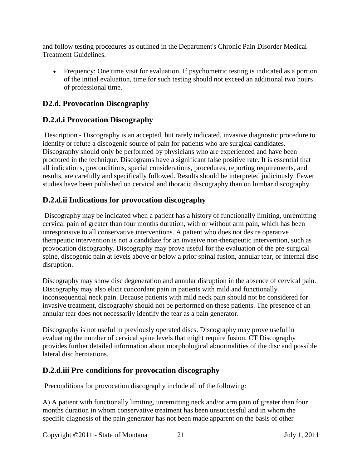and follow testing procedures as outlined in the Department's Chronic Pain Disorder Medical Treatment Guidelines.

• Frequency: One time visit for evaluation. If psychometric testing is indicated as a portion of the initial evaluation, time for such testing should not exceed an additional two hours of professional time.

## <span id="page-20-0"></span>**D2.d. Provocation Discography**

## **D.2.d.i Provocation Discography**

Description - Discography is an accepted, but rarely indicated, invasive diagnostic procedure to identify or refute a discogenic source of pain for patients who are surgical candidates. Discography should only be performed by physicians who are experienced and have been proctored in the technique. Discograms have a significant false positive rate. It is essential that all indications, preconditions, special considerations, procedures, reporting requirements, and results, are carefully and specifically followed. Results should be interpreted judiciously. Fewer studies have been published on cervical and thoracic discography than on lumbar discography.

## **D.2.d.ii Indications for provocation discography**

Discography may be indicated when a patient has a history of functionally limiting, unremitting cervical pain of greater than four months duration, with or without arm pain, which has been unresponsive to all conservative interventions. A patient who does not desire operative therapeutic intervention is not a candidate for an invasive non-therapeutic intervention, such as provocation discography. Discography may prove useful for the evaluation of the pre-surgical spine, discogenic pain at levels above or below a prior spinal fusion, annular tear, or internal disc disruption.

Discography may show disc degeneration and annular disruption in the absence of cervical pain. Discography may also elicit concordant pain in patients with mild and functionally inconsequential neck pain. Because patients with mild neck pain should not be considered for invasive treatment, discography should not be performed on these patients. The presence of an annular tear does not necessarily identify the tear as a pain generator.

Discography is not useful in previously operated discs. Discography may prove useful in evaluating the number of cervical spine levels that might require fusion. CT Discography provides further detailed information about morphological abnormalities of the disc and possible lateral disc herniations.

## **D.2.d.iii Pre-conditions for provocation discography**

Preconditions for provocation discography include all of the following:

A) A patient with functionally limiting, unremitting neck and/or arm pain of greater than four months duration in whom conservative treatment has been unsuccessful and in whom the specific diagnosis of the pain generator has not been made apparent on the basis of other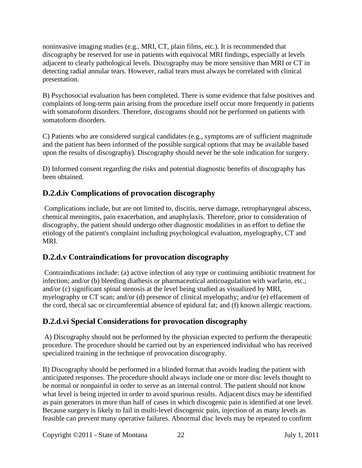noninvasive imaging studies (e.g., MRI, CT, plain films, etc.). It is recommended that discography be reserved for use in patients with equivocal MRI findings, especially at levels adjacent to clearly pathological levels. Discography may be more sensitive than MRI or CT in detecting radial annular tears. However, radial tears must always be correlated with clinical presentation.

B) Psychosocial evaluation has been completed. There is some evidence that false positives and complaints of long-term pain arising from the procedure itself occur more frequently in patients with somatoform disorders. Therefore, discograms should not be performed on patients with somatoform disorders.

C) Patients who are considered surgical candidates (e.g., symptoms are of sufficient magnitude and the patient has been informed of the possible surgical options that may be available based upon the results of discography). Discography should never be the sole indication for surgery.

D) Informed consent regarding the risks and potential diagnostic benefits of discography has been obtained.

## **D.2.d.iv Complications of provocation discography**

Complications include, but are not limited to, discitis, nerve damage, retropharyngeal abscess, chemical meningitis, pain exacerbation, and anaphylaxis. Therefore, prior to consideration of discography, the patient should undergo other diagnostic modalities in an effort to define the etiology of the patient's complaint including psychological evaluation, myelography, CT and MRI.

## **D.2.d.v Contraindications for provocation discography**

Contraindications include: (a) active infection of any type or continuing antibiotic treatment for infection; and/or (b) bleeding diathesis or pharmaceutical anticoagulation with warfarin, etc.; and/or (c) significant spinal stenosis at the level being studied as visualized by MRI, myelography or CT scan; and/or (d) presence of clinical myelopathy; and/or (e) effacement of the cord, thecal sac or circumferential absence of epidural fat; and (f) known allergic reactions.

# **D.2.d.vi Special Considerations for provocation discography**

A) Discography should not be performed by the physician expected to perform the therapeutic procedure. The procedure should be carried out by an experienced individual who has received specialized training in the technique of provocation discography.

B) Discography should be performed in a blinded format that avoids leading the patient with anticipated responses. The procedure should always include one or more disc levels thought to be normal or nonpainful in order to serve as an internal control. The patient should not know what level is being injected in order to avoid spurious results. Adjacent discs may be identified as pain generators in more than half of cases in which discogenic pain is identified at one level. Because surgery is likely to fail in multi-level discogenic pain, injection of as many levels as feasible can prevent many operative failures. Abnormal disc levels may be repeated to confirm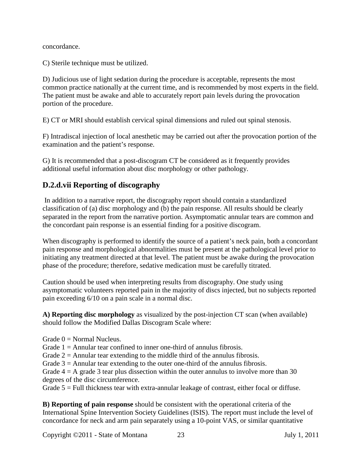concordance.

C) Sterile technique must be utilized.

D) Judicious use of light sedation during the procedure is acceptable, represents the most common practice nationally at the current time, and is recommended by most experts in the field. The patient must be awake and able to accurately report pain levels during the provocation portion of the procedure.

E) CT or MRI should establish cervical spinal dimensions and ruled out spinal stenosis.

F) Intradiscal injection of local anesthetic may be carried out after the provocation portion of the examination and the patient's response.

G) It is recommended that a post-discogram CT be considered as it frequently provides additional useful information about disc morphology or other pathology.

## **D.2.d.vii Reporting of discography**

In addition to a narrative report, the discography report should contain a standardized classification of (a) disc morphology and (b) the pain response. All results should be clearly separated in the report from the narrative portion. Asymptomatic annular tears are common and the concordant pain response is an essential finding for a positive discogram.

When discography is performed to identify the source of a patient's neck pain, both a concordant pain response and morphological abnormalities must be present at the pathological level prior to initiating any treatment directed at that level. The patient must be awake during the provocation phase of the procedure; therefore, sedative medication must be carefully titrated.

Caution should be used when interpreting results from discography. One study using asymptomatic volunteers reported pain in the majority of discs injected, but no subjects reported pain exceeding 6/10 on a pain scale in a normal disc.

**A) Reporting disc morphology** as visualized by the post-injection CT scan (when available) should follow the Modified Dallas Discogram Scale where:

- Grade  $0 =$  Normal Nucleus.
- Grade  $1 =$  Annular tear confined to inner one-third of annulus fibrosis.

Grade  $2 =$  Annular tear extending to the middle third of the annulus fibrosis.

Grade  $3 =$  Annular tear extending to the outer one-third of the annulus fibrosis.

Grade  $4 = A$  grade 3 tear plus dissection within the outer annulus to involve more than 30 degrees of the disc circumference.

Grade  $5 =$  Full thickness tear with extra-annular leakage of contrast, either focal or diffuse.

**B) Reporting of pain response** should be consistent with the operational criteria of the International Spine Intervention Society Guidelines (ISIS). The report must include the level of concordance for neck and arm pain separately using a 10-point VAS, or similar quantitative

Copyright ©2011 - State of Montana 23 July 1, 2011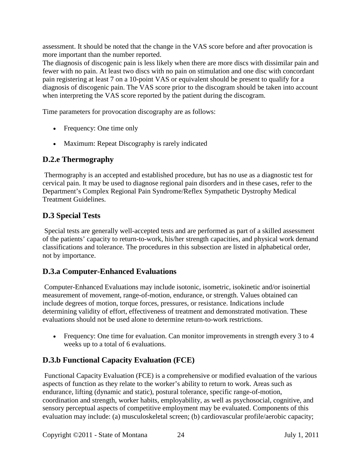assessment. It should be noted that the change in the VAS score before and after provocation is more important than the number reported.

The diagnosis of discogenic pain is less likely when there are more discs with dissimilar pain and fewer with no pain. At least two discs with no pain on stimulation and one disc with concordant pain registering at least 7 on a 10-point VAS or equivalent should be present to qualify for a diagnosis of discogenic pain. The VAS score prior to the discogram should be taken into account when interpreting the VAS score reported by the patient during the discogram.

Time parameters for provocation discography are as follows:

- Frequency: One time only
- <span id="page-23-0"></span>• Maximum: Repeat Discography is rarely indicated

## **D.2.e Thermography**

Thermography is an accepted and established procedure, but has no use as a diagnostic test for cervical pain. It may be used to diagnose regional pain disorders and in these cases, refer to the Department's Complex Regional Pain Syndrome/Reflex Sympathetic Dystrophy Medical Treatment Guidelines.

# <span id="page-23-1"></span>**D.3 Special Tests**

Special tests are generally well-accepted tests and are performed as part of a skilled assessment of the patients' capacity to return-to-work, his/her strength capacities, and physical work demand classifications and tolerance. The procedures in this subsection are listed in alphabetical order, not by importance.

## **D.3.a Computer-Enhanced Evaluations**

Computer-Enhanced Evaluations may include isotonic, isometric, isokinetic and/or isoinertial measurement of movement, range-of-motion, endurance, or strength. Values obtained can include degrees of motion, torque forces, pressures, or resistance. Indications include determining validity of effort, effectiveness of treatment and demonstrated motivation. These evaluations should not be used alone to determine return-to-work restrictions.

• Frequency: One time for evaluation. Can monitor improvements in strength every 3 to 4 weeks up to a total of 6 evaluations.

# **D.3.b Functional Capacity Evaluation (FCE)**

Functional Capacity Evaluation (FCE) is a comprehensive or modified evaluation of the various aspects of function as they relate to the worker's ability to return to work. Areas such as endurance, lifting (dynamic and static), postural tolerance, specific range-of-motion, coordination and strength, worker habits, employability, as well as psychosocial, cognitive, and sensory perceptual aspects of competitive employment may be evaluated. Components of this evaluation may include: (a) musculoskeletal screen; (b) cardiovascular profile/aerobic capacity;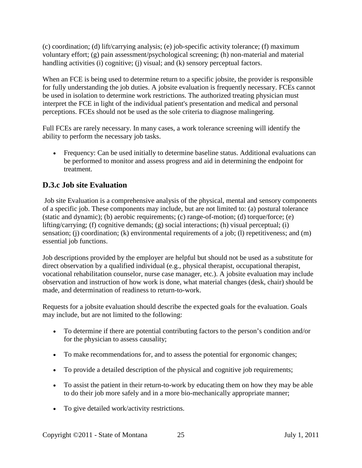(c) coordination; (d) lift/carrying analysis; (e) job-specific activity tolerance; (f) maximum voluntary effort; (g) pain assessment/psychological screening; (h) non-material and material handling activities (i) cognitive; (j) visual; and (k) sensory perceptual factors.

When an FCE is being used to determine return to a specific jobsite, the provider is responsible for fully understanding the job duties. A jobsite evaluation is frequently necessary. FCEs cannot be used in isolation to determine work restrictions. The authorized treating physician must interpret the FCE in light of the individual patient's presentation and medical and personal perceptions. FCEs should not be used as the sole criteria to diagnose malingering.

Full FCEs are rarely necessary. In many cases, a work tolerance screening will identify the ability to perform the necessary job tasks.

• Frequency: Can be used initially to determine baseline status. Additional evaluations can be performed to monitor and assess progress and aid in determining the endpoint for treatment.

## **D.3.c Job site Evaluation**

Job site Evaluation is a comprehensive analysis of the physical, mental and sensory components of a specific job. These components may include, but are not limited to: (a) postural tolerance (static and dynamic); (b) aerobic requirements; (c) range-of-motion; (d) torque/force; (e) lifting/carrying; (f) cognitive demands; (g) social interactions; (h) visual perceptual; (i) sensation; (j) coordination; (k) environmental requirements of a job; (l) repetitiveness; and (m) essential job functions.

Job descriptions provided by the employer are helpful but should not be used as a substitute for direct observation by a qualified individual (e.g., physical therapist, occupational therapist, vocational rehabilitation counselor, nurse case manager, etc.). A jobsite evaluation may include observation and instruction of how work is done, what material changes (desk, chair) should be made, and determination of readiness to return-to-work.

Requests for a jobsite evaluation should describe the expected goals for the evaluation. Goals may include, but are not limited to the following:

- To determine if there are potential contributing factors to the person's condition and/or for the physician to assess causality;
- To make recommendations for, and to assess the potential for ergonomic changes;
- To provide a detailed description of the physical and cognitive job requirements;
- To assist the patient in their return-to-work by educating them on how they may be able to do their job more safely and in a more bio-mechanically appropriate manner;
- To give detailed work/activity restrictions.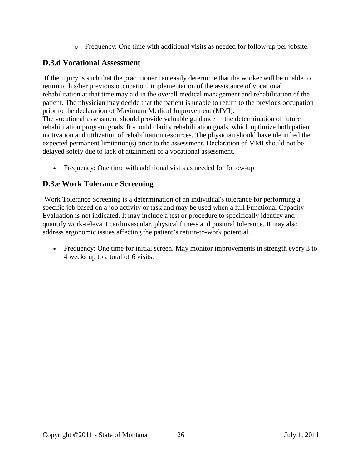o Frequency: One time with additional visits as needed for follow-up per jobsite.

## **D.3.d Vocational Assessment**

If the injury is such that the practitioner can easily determine that the worker will be unable to return to his/her previous occupation, implementation of the assistance of vocational rehabilitation at that time may aid in the overall medical management and rehabilitation of the patient. The physician may decide that the patient is unable to return to the previous occupation prior to the declaration of Maximum Medical Improvement (MMI).

The vocational assessment should provide valuable guidance in the determination of future rehabilitation program goals. It should clarify rehabilitation goals, which optimize both patient motivation and utilization of rehabilitation resources. The physician should have identified the expected permanent limitation(s) prior to the assessment. Declaration of MMI should not be delayed solely due to lack of attainment of a vocational assessment.

• Frequency: One time with additional visits as needed for follow-up

## **D.3.e Work Tolerance Screening**

Work Tolerance Screening is a determination of an individual's tolerance for performing a specific job based on a job activity or task and may be used when a full Functional Capacity Evaluation is not indicated. It may include a test or procedure to specifically identify and quantify work-relevant cardiovascular, physical fitness and postural tolerance. It may also address ergonomic issues affecting the patient's return-to-work potential.

• Frequency: One time for initial screen. May monitor improvements in strength every 3 to 4 weeks up to a total of 6 visits.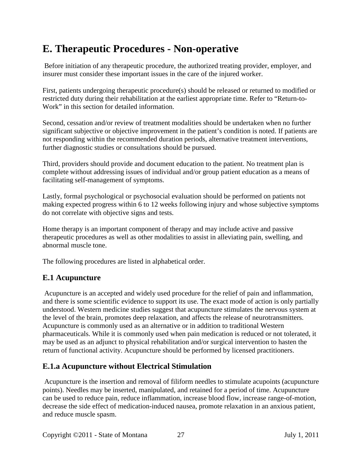# <span id="page-26-0"></span>**E. Therapeutic Procedures - Non-operative**

Before initiation of any therapeutic procedure, the authorized treating provider, employer, and insurer must consider these important issues in the care of the injured worker.

First, patients undergoing therapeutic procedure(s) should be released or returned to modified or restricted duty during their rehabilitation at the earliest appropriate time. Refer to "Return-to-Work" in this section for detailed information.

Second, cessation and/or review of treatment modalities should be undertaken when no further significant subjective or objective improvement in the patient's condition is noted. If patients are not responding within the recommended duration periods, alternative treatment interventions, further diagnostic studies or consultations should be pursued.

Third, providers should provide and document education to the patient. No treatment plan is complete without addressing issues of individual and/or group patient education as a means of facilitating self-management of symptoms.

Lastly, formal psychological or psychosocial evaluation should be performed on patients not making expected progress within 6 to 12 weeks following injury and whose subjective symptoms do not correlate with objective signs and tests.

Home therapy is an important component of therapy and may include active and passive therapeutic procedures as well as other modalities to assist in alleviating pain, swelling, and abnormal muscle tone.

The following procedures are listed in alphabetical order.

## <span id="page-26-1"></span>**E.1 Acupuncture**

Acupuncture is an accepted and widely used procedure for the relief of pain and inflammation, and there is some scientific evidence to support its use. The exact mode of action is only partially understood. Western medicine studies suggest that acupuncture stimulates the nervous system at the level of the brain, promotes deep relaxation, and affects the release of neurotransmitters. Acupuncture is commonly used as an alternative or in addition to traditional Western pharmaceuticals. While it is commonly used when pain medication is reduced or not tolerated, it may be used as an adjunct to physical rehabilitation and/or surgical intervention to hasten the return of functional activity. Acupuncture should be performed by licensed practitioners.

#### **E.1.a Acupuncture without Electrical Stimulation**

Acupuncture is the insertion and removal of filiform needles to stimulate acupoints (acupuncture points). Needles may be inserted, manipulated, and retained for a period of time. Acupuncture can be used to reduce pain, reduce inflammation, increase blood flow, increase range-of-motion, decrease the side effect of medication-induced nausea, promote relaxation in an anxious patient, and reduce muscle spasm.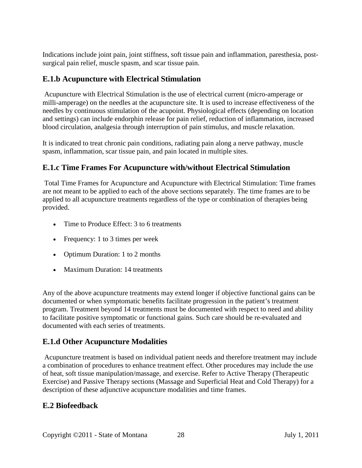Indications include joint pain, joint stiffness, soft tissue pain and inflammation, paresthesia, postsurgical pain relief, muscle spasm, and scar tissue pain.

#### **E.1.b Acupuncture with Electrical Stimulation**

Acupuncture with Electrical Stimulation is the use of electrical current (micro-amperage or milli-amperage) on the needles at the acupuncture site. It is used to increase effectiveness of the needles by continuous stimulation of the acupoint. Physiological effects (depending on location and settings) can include endorphin release for pain relief, reduction of inflammation, increased blood circulation, analgesia through interruption of pain stimulus, and muscle relaxation.

It is indicated to treat chronic pain conditions, radiating pain along a nerve pathway, muscle spasm, inflammation, scar tissue pain, and pain located in multiple sites.

#### **E.1.c Time Frames For Acupuncture with/without Electrical Stimulation**

Total Time Frames for Acupuncture and Acupuncture with Electrical Stimulation: Time frames are not meant to be applied to each of the above sections separately. The time frames are to be applied to all acupuncture treatments regardless of the type or combination of therapies being provided.

- Time to Produce Effect: 3 to 6 treatments
- Frequency: 1 to 3 times per week
- Optimum Duration: 1 to 2 months
- Maximum Duration: 14 treatments

Any of the above acupuncture treatments may extend longer if objective functional gains can be documented or when symptomatic benefits facilitate progression in the patient's treatment program. Treatment beyond 14 treatments must be documented with respect to need and ability to facilitate positive symptomatic or functional gains. Such care should be re-evaluated and documented with each series of treatments.

#### **E.1.d Other Acupuncture Modalities**

Acupuncture treatment is based on individual patient needs and therefore treatment may include a combination of procedures to enhance treatment effect. Other procedures may include the use of heat, soft tissue manipulation/massage, and exercise. Refer to Active Therapy (Therapeutic Exercise) and Passive Therapy sections (Massage and Superficial Heat and Cold Therapy) for a description of these adjunctive acupuncture modalities and time frames.

#### <span id="page-27-0"></span>**E.2 Biofeedback**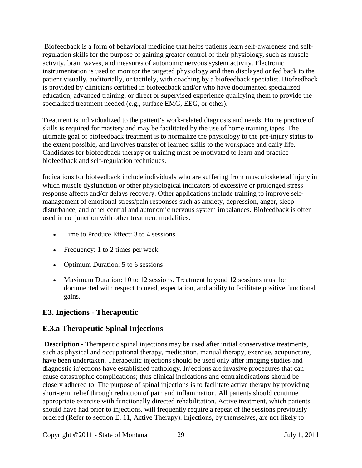Biofeedback is a form of behavioral medicine that helps patients learn self-awareness and selfregulation skills for the purpose of gaining greater control of their physiology, such as muscle activity, brain waves, and measures of autonomic nervous system activity. Electronic instrumentation is used to monitor the targeted physiology and then displayed or fed back to the patient visually, auditorially, or tactilely, with coaching by a biofeedback specialist. Biofeedback is provided by clinicians certified in biofeedback and/or who have documented specialized education, advanced training, or direct or supervised experience qualifying them to provide the specialized treatment needed (e.g., surface EMG, EEG, or other).

Treatment is individualized to the patient's work-related diagnosis and needs. Home practice of skills is required for mastery and may be facilitated by the use of home training tapes. The ultimate goal of biofeedback treatment is to normalize the physiology to the pre-injury status to the extent possible, and involves transfer of learned skills to the workplace and daily life. Candidates for biofeedback therapy or training must be motivated to learn and practice biofeedback and self-regulation techniques.

Indications for biofeedback include individuals who are suffering from musculoskeletal injury in which muscle dysfunction or other physiological indicators of excessive or prolonged stress response affects and/or delays recovery. Other applications include training to improve selfmanagement of emotional stress/pain responses such as anxiety, depression, anger, sleep disturbance, and other central and autonomic nervous system imbalances. Biofeedback is often used in conjunction with other treatment modalities.

- Time to Produce Effect: 3 to 4 sessions
- Frequency: 1 to 2 times per week
- Optimum Duration: 5 to 6 sessions
- Maximum Duration: 10 to 12 sessions. Treatment beyond 12 sessions must be documented with respect to need, expectation, and ability to facilitate positive functional gains.

## <span id="page-28-0"></span>**E3. Injections - Therapeutic**

#### **E.3.a Therapeutic Spinal Injections**

**Description** - Therapeutic spinal injections may be used after initial conservative treatments, such as physical and occupational therapy, medication, manual therapy, exercise, acupuncture, have been undertaken. Therapeutic injections should be used only after imaging studies and diagnostic injections have established pathology. Injections are invasive procedures that can cause catastrophic complications; thus clinical indications and contraindications should be closely adhered to. The purpose of spinal injections is to facilitate active therapy by providing short-term relief through reduction of pain and inflammation. All patients should continue appropriate exercise with functionally directed rehabilitation. Active treatment, which patients should have had prior to injections, will frequently require a repeat of the sessions previously ordered (Refer to section E. 11, Active Therapy). Injections, by themselves, are not likely to

Copyright ©2011 - State of Montana 29 July 1, 2011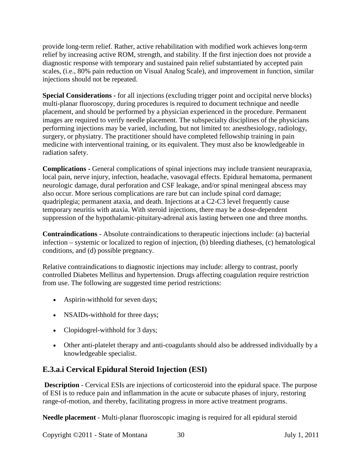provide long-term relief. Rather, active rehabilitation with modified work achieves long-term relief by increasing active ROM, strength, and stability. If the first injection does not provide a diagnostic response with temporary and sustained pain relief substantiated by accepted pain scales, (i.e., 80% pain reduction on Visual Analog Scale), and improvement in function, similar injections should not be repeated.

**Special Considerations -** for all injections (excluding trigger point and occipital nerve blocks) multi-planar fluoroscopy, during procedures is required to document technique and needle placement, and should be performed by a physician experienced in the procedure. Permanent images are required to verify needle placement. The subspecialty disciplines of the physicians performing injections may be varied, including, but not limited to: anesthesiology, radiology, surgery, or physiatry. The practitioner should have completed fellowship training in pain medicine with interventional training, or its equivalent. They must also be knowledgeable in radiation safety.

**Complications -** General complications of spinal injections may include transient neurapraxia, local pain, nerve injury, infection, headache, vasovagal effects. Epidural hematoma, permanent neurologic damage, dural perforation and CSF leakage, and/or spinal meningeal abscess may also occur. More serious complications are rare but can include spinal cord damage; quadriplegia; permanent ataxia, and death. Injections at a C2-C3 level frequently cause temporary neuritis with ataxia. With steroid injections, there may be a dose-dependent suppression of the hypothalamic-pituitary-adrenal axis lasting between one and three months.

**Contraindications** - Absolute contraindications to therapeutic injections include: (a) bacterial infection – systemic or localized to region of injection, (b) bleeding diatheses, (c) hematological conditions, and (d) possible pregnancy.

Relative contraindications to diagnostic injections may include: allergy to contrast, poorly controlled Diabetes Mellitus and hypertension. Drugs affecting coagulation require restriction from use. The following are suggested time period restrictions:

- Aspirin-withhold for seven days;
- NSAIDs-withhold for three days;
- Clopidogrel-withhold for 3 days;
- Other anti-platelet therapy and anti-coagulants should also be addressed individually by a knowledgeable specialist.

# **E.3.a.i Cervical Epidural Steroid Injection (ESI)**

**Description** - Cervical ESIs are injections of corticosteroid into the epidural space. The purpose of ESI is to reduce pain and inflammation in the acute or subacute phases of injury, restoring range-of-motion, and thereby, facilitating progress in more active treatment programs.

**Needle placement** - Multi-planar fluoroscopic imaging is required for all epidural steroid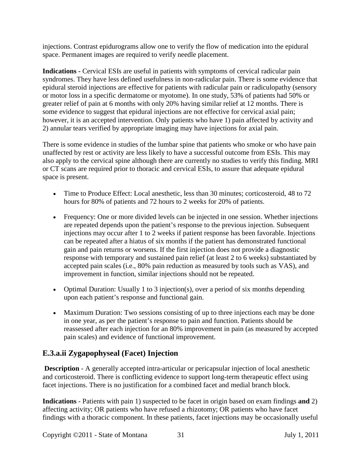injections. Contrast epidurograms allow one to verify the flow of medication into the epidural space. Permanent images are required to verify needle placement.

**Indications -** Cervical ESIs are useful in patients with symptoms of cervical radicular pain syndromes. They have less defined usefulness in non-radicular pain. There is some evidence that epidural steroid injections are effective for patients with radicular pain or radiculopathy (sensory or motor loss in a specific dermatome or myotome). In one study, 53% of patients had 50% or greater relief of pain at 6 months with only 20% having similar relief at 12 months. There is some evidence to suggest that epidural injections are not effective for cervical axial pain; however, it is an accepted intervention. Only patients who have 1) pain affected by activity and 2) annular tears verified by appropriate imaging may have injections for axial pain.

There is some evidence in studies of the lumbar spine that patients who smoke or who have pain unaffected by rest or activity are less likely to have a successful outcome from ESIs. This may also apply to the cervical spine although there are currently no studies to verify this finding. MRI or CT scans are required prior to thoracic and cervical ESIs, to assure that adequate epidural space is present.

- Time to Produce Effect: Local anesthetic, less than 30 minutes; corticosteroid, 48 to 72 hours for 80% of patients and 72 hours to 2 weeks for 20% of patients.
- Frequency: One or more divided levels can be injected in one session. Whether injections are repeated depends upon the patient's response to the previous injection. Subsequent injections may occur after 1 to 2 weeks if patient response has been favorable. Injections can be repeated after a hiatus of six months if the patient has demonstrated functional gain and pain returns or worsens. If the first injection does not provide a diagnostic response with temporary and sustained pain relief (at least 2 to 6 weeks) substantiated by accepted pain scales (i.e., 80% pain reduction as measured by tools such as VAS), and improvement in function, similar injections should not be repeated.
- Optimal Duration: Usually 1 to 3 injection(s), over a period of six months depending upon each patient's response and functional gain.
- Maximum Duration: Two sessions consisting of up to three injections each may be done in one year, as per the patient's response to pain and function. Patients should be reassessed after each injection for an 80% improvement in pain (as measured by accepted pain scales) and evidence of functional improvement.

# **E.3.a.ii Zygapophyseal (Facet) Injection**

**Description** - A generally accepted intra-articular or pericapsular injection of local anesthetic and corticosteroid. There is conflicting evidence to support long-term therapeutic effect using facet injections. There is no justification for a combined facet and medial branch block.

**Indications** - Patients with pain 1) suspected to be facet in origin based on exam findings **and** 2) affecting activity; OR patients who have refused a rhizotomy; OR patients who have facet findings with a thoracic component. In these patients, facet injections may be occasionally useful

Copyright ©2011 - State of Montana 31 July 1, 2011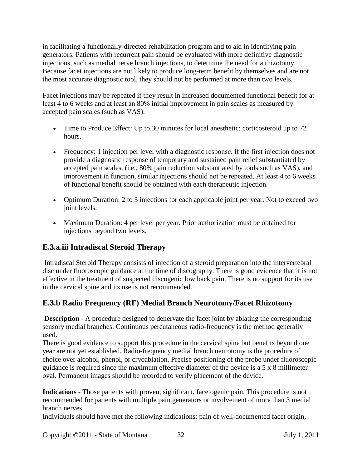in facilitating a functionally-directed rehabilitation program and to aid in identifying pain generators. Patients with recurrent pain should be evaluated with more definitive diagnostic injections, such as medial nerve branch injections, to determine the need for a rhizotomy. Because facet injections are not likely to produce long-term benefit by themselves and are not the most accurate diagnostic tool, they should not be performed at more than two levels.

Facet injections may be repeated if they result in increased documented functional benefit for at least 4 to 6 weeks and at least an 80% initial improvement in pain scales as measured by accepted pain scales (such as VAS).

- Time to Produce Effect: Up to 30 minutes for local anesthetic; corticosteroid up to 72 hours.
- Frequency: 1 injection per level with a diagnostic response. If the first injection does not provide a diagnostic response of temporary and sustained pain relief substantiated by accepted pain scales, (i.e., 80% pain reduction substantiated by tools such as VAS), and improvement in function, similar injections should not be repeated. At least 4 to 6 weeks of functional benefit should be obtained with each therapeutic injection.
- Optimum Duration: 2 to 3 injections for each applicable joint per year. Not to exceed two joint levels.
- Maximum Duration: 4 per level per year. Prior authorization must be obtained for injections beyond two levels.

# **E.3.a.iii Intradiscal Steroid Therapy**

Intradiscal Steroid Therapy consists of injection of a steroid preparation into the intervertebral disc under fluoroscopic guidance at the time of discography. There is good evidence that it is not effective in the treatment of suspected discogenic low back pain. There is no support for its use in the cervical spine and its use is not recommended.

# **E.3.b Radio Frequency (RF) Medial Branch Neurotomy/Facet Rhizotomy**

**Description** - A procedure designed to denervate the facet joint by ablating the corresponding sensory medial branches. Continuous percutaneous radio-frequency is the method generally used.

There is good evidence to support this procedure in the cervical spine but benefits beyond one year are not yet established. Radio-frequency medial branch neurotomy is the procedure of choice over alcohol, phenol, or cryoablation. Precise positioning of the probe under fluoroscopic guidance is required since the maximum effective diameter of the device is a 5 x 8 millimeter oval. Permanent images should be recorded to verify placement of the device.

**Indications -** Those patients with proven, significant, facetogenic pain. This procedure is not recommended for patients with multiple pain generators or involvement of more than 3 medial branch nerves.

Individuals should have met the following indications: pain of well-documented facet origin,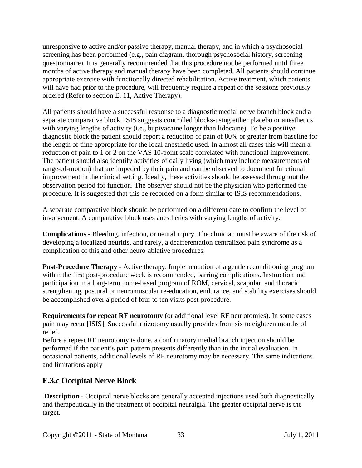unresponsive to active and/or passive therapy, manual therapy, and in which a psychosocial screening has been performed (e.g., pain diagram, thorough psychosocial history, screening questionnaire). It is generally recommended that this procedure not be performed until three months of active therapy and manual therapy have been completed. All patients should continue appropriate exercise with functionally directed rehabilitation. Active treatment, which patients will have had prior to the procedure, will frequently require a repeat of the sessions previously ordered (Refer to section E. 11, Active Therapy).

All patients should have a successful response to a diagnostic medial nerve branch block and a separate comparative block. ISIS suggests controlled blocks-using either placebo or anesthetics with varying lengths of activity (i.e., bupivacaine longer than lidocaine). To be a positive diagnostic block the patient should report a reduction of pain of 80% or greater from baseline for the length of time appropriate for the local anesthetic used. In almost all cases this will mean a reduction of pain to 1 or 2 on the VAS 10-point scale correlated with functional improvement. The patient should also identify activities of daily living (which may include measurements of range-of-motion) that are impeded by their pain and can be observed to document functional improvement in the clinical setting. Ideally, these activities should be assessed throughout the observation period for function. The observer should not be the physician who performed the procedure. It is suggested that this be recorded on a form similar to ISIS recommendations.

A separate comparative block should be performed on a different date to confirm the level of involvement. A comparative block uses anesthetics with varying lengths of activity.

**Complications** - Bleeding, infection, or neural injury. The clinician must be aware of the risk of developing a localized neuritis, and rarely, a deafferentation centralized pain syndrome as a complication of this and other neuro-ablative procedures.

**Post-Procedure Therapy** - Active therapy. Implementation of a gentle reconditioning program within the first post-procedure week is recommended, barring complications. Instruction and participation in a long-term home-based program of ROM, cervical, scapular, and thoracic strengthening, postural or neuromuscular re-education, endurance, and stability exercises should be accomplished over a period of four to ten visits post-procedure.

**Requirements for repeat RF neurotomy** (or additional level RF neurotomies). In some cases pain may recur [ISIS]. Successful rhizotomy usually provides from six to eighteen months of relief.

Before a repeat RF neurotomy is done, a confirmatory medial branch injection should be performed if the patient's pain pattern presents differently than in the initial evaluation. In occasional patients, additional levels of RF neurotomy may be necessary. The same indications and limitations apply

## **E.3.c Occipital Nerve Block**

**Description** - Occipital nerve blocks are generally accepted injections used both diagnostically and therapeutically in the treatment of occipital neuralgia. The greater occipital nerve is the target.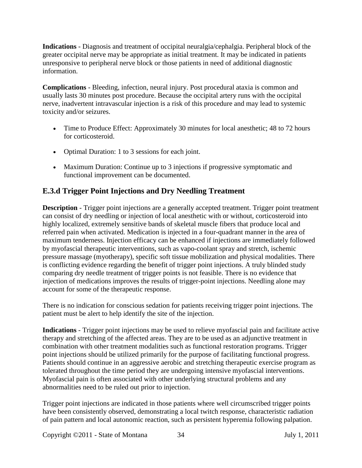**Indications** - Diagnosis and treatment of occipital neuralgia/cephalgia. Peripheral block of the greater occipital nerve may be appropriate as initial treatment. It may be indicated in patients unresponsive to peripheral nerve block or those patients in need of additional diagnostic information.

**Complications** - Bleeding, infection, neural injury. Post procedural ataxia is common and usually lasts 30 minutes post procedure. Because the occipital artery runs with the occipital nerve, inadvertent intravascular injection is a risk of this procedure and may lead to systemic toxicity and/or seizures.

- Time to Produce Effect: Approximately 30 minutes for local anesthetic; 48 to 72 hours for corticosteroid.
- Optimal Duration: 1 to 3 sessions for each joint.
- Maximum Duration: Continue up to 3 injections if progressive symptomatic and functional improvement can be documented.

## **E.3.d Trigger Point Injections and Dry Needling Treatment**

**Description** - Trigger point injections are a generally accepted treatment. Trigger point treatment can consist of dry needling or injection of local anesthetic with or without, corticosteroid into highly localized, extremely sensitive bands of skeletal muscle fibers that produce local and referred pain when activated. Medication is injected in a four-quadrant manner in the area of maximum tenderness. Injection efficacy can be enhanced if injections are immediately followed by myofascial therapeutic interventions, such as vapo-coolant spray and stretch, ischemic pressure massage (myotherapy), specific soft tissue mobilization and physical modalities. There is conflicting evidence regarding the benefit of trigger point injections. A truly blinded study comparing dry needle treatment of trigger points is not feasible. There is no evidence that injection of medications improves the results of trigger-point injections. Needling alone may account for some of the therapeutic response.

There is no indication for conscious sedation for patients receiving trigger point injections. The patient must be alert to help identify the site of the injection.

**Indications** - Trigger point injections may be used to relieve myofascial pain and facilitate active therapy and stretching of the affected areas. They are to be used as an adjunctive treatment in combination with other treatment modalities such as functional restoration programs. Trigger point injections should be utilized primarily for the purpose of facilitating functional progress. Patients should continue in an aggressive aerobic and stretching therapeutic exercise program as tolerated throughout the time period they are undergoing intensive myofascial interventions. Myofascial pain is often associated with other underlying structural problems and any abnormalities need to be ruled out prior to injection.

Trigger point injections are indicated in those patients where well circumscribed trigger points have been consistently observed, demonstrating a local twitch response, characteristic radiation of pain pattern and local autonomic reaction, such as persistent hyperemia following palpation.

Copyright ©2011 - State of Montana 34 July 1, 2011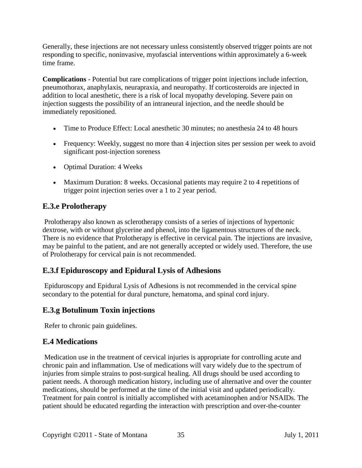Generally, these injections are not necessary unless consistently observed trigger points are not responding to specific, noninvasive, myofascial interventions within approximately a 6-week time frame.

**Complications** - Potential but rare complications of trigger point injections include infection, pneumothorax, anaphylaxis, neurapraxia, and neuropathy. If corticosteroids are injected in addition to local anesthetic, there is a risk of local myopathy developing. Severe pain on injection suggests the possibility of an intraneural injection, and the needle should be immediately repositioned.

- Time to Produce Effect: Local anesthetic 30 minutes; no anesthesia 24 to 48 hours
- Frequency: Weekly, suggest no more than 4 injection sites per session per week to avoid significant post-injection soreness
- Optimal Duration: 4 Weeks
- Maximum Duration: 8 weeks. Occasional patients may require 2 to 4 repetitions of trigger point injection series over a 1 to 2 year period.

# **E.3.e Prolotherapy**

Prolotherapy also known as sclerotherapy consists of a series of injections of hypertonic dextrose, with or without glycerine and phenol, into the ligamentous structures of the neck. There is no evidence that Prolotherapy is effective in cervical pain. The injections are invasive, may be painful to the patient, and are not generally accepted or widely used. Therefore, the use of Prolotherapy for cervical pain is not recommended.

# **E.3.f Epiduroscopy and Epidural Lysis of Adhesions**

Epiduroscopy and Epidural Lysis of Adhesions is not recommended in the cervical spine secondary to the potential for dural puncture, hematoma, and spinal cord injury.

# **E.3.g Botulinum Toxin injections**

Refer to chronic pain guidelines.

## <span id="page-34-0"></span>**E.4 Medications**

Medication use in the treatment of cervical injuries is appropriate for controlling acute and chronic pain and inflammation. Use of medications will vary widely due to the spectrum of injuries from simple strains to post-surgical healing. All drugs should be used according to patient needs. A thorough medication history, including use of alternative and over the counter medications, should be performed at the time of the initial visit and updated periodically. Treatment for pain control is initially accomplished with acetaminophen and/or NSAIDs. The patient should be educated regarding the interaction with prescription and over-the-counter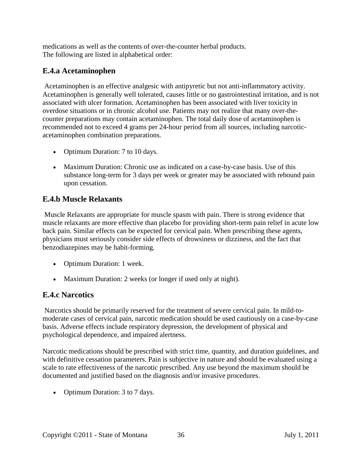medications as well as the contents of over-the-counter herbal products. The following are listed in alphabetical order:

## **E.4.a Acetaminophen**

Acetaminophen is an effective analgesic with antipyretic but not anti-inflammatory activity. Acetaminophen is generally well tolerated, causes little or no gastrointestinal irritation, and is not associated with ulcer formation. Acetaminophen has been associated with liver toxicity in overdose situations or in chronic alcohol use. Patients may not realize that many over-thecounter preparations may contain acetaminophen. The total daily dose of acetaminophen is recommended not to exceed 4 grams per 24-hour period from all sources, including narcoticacetaminophen combination preparations.

- Optimum Duration: 7 to 10 days.
- Maximum Duration: Chronic use as indicated on a case-by-case basis. Use of this substance long-term for 3 days per week or greater may be associated with rebound pain upon cessation.

## **E.4.b Muscle Relaxants**

Muscle Relaxants are appropriate for muscle spasm with pain. There is strong evidence that muscle relaxants are more effective than placebo for providing short-term pain relief in acute low back pain. Similar effects can be expected for cervical pain. When prescribing these agents, physicians must seriously consider side effects of drowsiness or dizziness, and the fact that benzodiazepines may be habit-forming.

- Optimum Duration: 1 week.
- Maximum Duration: 2 weeks (or longer if used only at night).

## **E.4.c Narcotics**

Narcotics should be primarily reserved for the treatment of severe cervical pain. In mild-tomoderate cases of cervical pain, narcotic medication should be used cautiously on a case-by-case basis. Adverse effects include respiratory depression, the development of physical and psychological dependence, and impaired alertness.

Narcotic medications should be prescribed with strict time, quantity, and duration guidelines, and with definitive cessation parameters. Pain is subjective in nature and should be evaluated using a scale to rate effectiveness of the narcotic prescribed. Any use beyond the maximum should be documented and justified based on the diagnosis and/or invasive procedures.

• Optimum Duration: 3 to 7 days.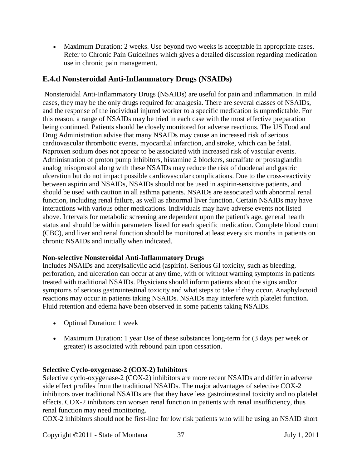• Maximum Duration: 2 weeks. Use beyond two weeks is acceptable in appropriate cases. Refer to Chronic Pain Guidelines which gives a detailed discussion regarding medication use in chronic pain management.

#### **E.4.d Nonsteroidal Anti-Inflammatory Drugs (NSAIDs)**

Nonsteroidal Anti-Inflammatory Drugs (NSAIDs) are useful for pain and inflammation. In mild cases, they may be the only drugs required for analgesia. There are several classes of NSAIDs, and the response of the individual injured worker to a specific medication is unpredictable. For this reason, a range of NSAIDs may be tried in each case with the most effective preparation being continued. Patients should be closely monitored for adverse reactions. The US Food and Drug Administration advise that many NSAIDs may cause an increased risk of serious cardiovascular thrombotic events, myocardial infarction, and stroke, which can be fatal. Naproxen sodium does not appear to be associated with increased risk of vascular events. Administration of proton pump inhibitors, histamine 2 blockers, sucralfate or prostaglandin analog misoprostol along with these NSAIDs may reduce the risk of duodenal and gastric ulceration but do not impact possible cardiovascular complications. Due to the cross-reactivity between aspirin and NSAIDs, NSAIDs should not be used in aspirin-sensitive patients, and should be used with caution in all asthma patients. NSAIDs are associated with abnormal renal function, including renal failure, as well as abnormal liver function. Certain NSAIDs may have interactions with various other medications. Individuals may have adverse events not listed above. Intervals for metabolic screening are dependent upon the patient's age, general health status and should be within parameters listed for each specific medication. Complete blood count (CBC), and liver and renal function should be monitored at least every six months in patients on chronic NSAIDs and initially when indicated.

#### **Non-selective Nonsteroidal Anti-Inflammatory Drugs**

Includes NSAIDs and acetylsalicylic acid (aspirin). Serious GI toxicity, such as bleeding, perforation, and ulceration can occur at any time, with or without warning symptoms in patients treated with traditional NSAIDs. Physicians should inform patients about the signs and/or symptoms of serious gastrointestinal toxicity and what steps to take if they occur. Anaphylactoid reactions may occur in patients taking NSAIDs. NSAIDs may interfere with platelet function. Fluid retention and edema have been observed in some patients taking NSAIDs.

- Optimal Duration: 1 week
- Maximum Duration: 1 year Use of these substances long-term for (3 days per week or greater) is associated with rebound pain upon cessation.

#### **Selective Cyclo-oxygenase-2 (COX-2) Inhibitors**

Selective cyclo-oxygenase-2 (COX-2) inhibitors are more recent NSAIDs and differ in adverse side effect profiles from the traditional NSAIDs. The major advantages of selective COX-2 inhibitors over traditional NSAIDs are that they have less gastrointestinal toxicity and no platelet effects. COX-2 inhibitors can worsen renal function in patients with renal insufficiency, thus renal function may need monitoring.

COX-2 inhibitors should not be first-line for low risk patients who will be using an NSAID short

Copyright ©2011 - State of Montana 37 July 1, 2011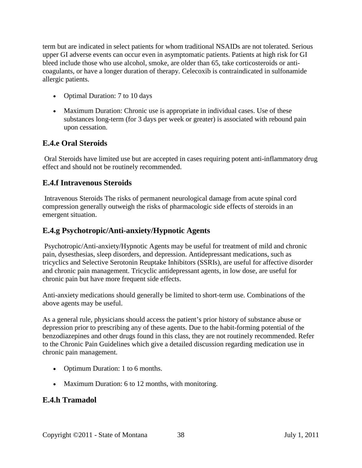term but are indicated in select patients for whom traditional NSAIDs are not tolerated. Serious upper GI adverse events can occur even in asymptomatic patients. Patients at high risk for GI bleed include those who use alcohol, smoke, are older than 65, take corticosteroids or anticoagulants, or have a longer duration of therapy. Celecoxib is contraindicated in sulfonamide allergic patients.

- Optimal Duration: 7 to 10 days
- Maximum Duration: Chronic use is appropriate in individual cases. Use of these substances long-term (for 3 days per week or greater) is associated with rebound pain upon cessation.

#### **E.4.e Oral Steroids**

Oral Steroids have limited use but are accepted in cases requiring potent anti-inflammatory drug effect and should not be routinely recommended.

#### **E.4.f Intravenous Steroids**

Intravenous Steroids The risks of permanent neurological damage from acute spinal cord compression generally outweigh the risks of pharmacologic side effects of steroids in an emergent situation.

#### **E.4.g Psychotropic/Anti-anxiety/Hypnotic Agents**

Psychotropic/Anti-anxiety/Hypnotic Agents may be useful for treatment of mild and chronic pain, dysesthesias, sleep disorders, and depression. Antidepressant medications, such as tricyclics and Selective Serotonin Reuptake Inhibitors (SSRIs), are useful for affective disorder and chronic pain management. Tricyclic antidepressant agents, in low dose, are useful for chronic pain but have more frequent side effects.

Anti-anxiety medications should generally be limited to short-term use. Combinations of the above agents may be useful.

As a general rule, physicians should access the patient's prior history of substance abuse or depression prior to prescribing any of these agents. Due to the habit-forming potential of the benzodiazepines and other drugs found in this class, they are not routinely recommended. Refer to the Chronic Pain Guidelines which give a detailed discussion regarding medication use in chronic pain management.

- Optimum Duration: 1 to 6 months.
- Maximum Duration: 6 to 12 months, with monitoring.

#### **E.4.h Tramadol**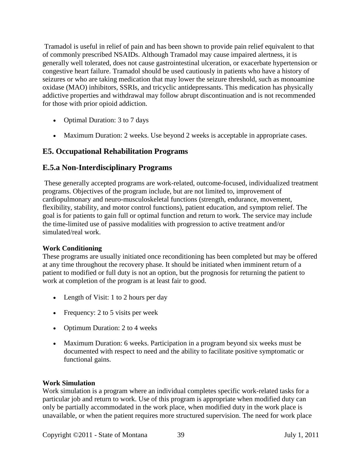Tramadol is useful in relief of pain and has been shown to provide pain relief equivalent to that of commonly prescribed NSAIDs. Although Tramadol may cause impaired alertness, it is generally well tolerated, does not cause gastrointestinal ulceration, or exacerbate hypertension or congestive heart failure. Tramadol should be used cautiously in patients who have a history of seizures or who are taking medication that may lower the seizure threshold, such as monoamine oxidase (MAO) inhibitors, SSRIs, and tricyclic antidepressants. This medication has physically addictive properties and withdrawal may follow abrupt discontinuation and is not recommended for those with prior opioid addiction.

- Optimal Duration: 3 to 7 days
- Maximum Duration: 2 weeks. Use beyond 2 weeks is acceptable in appropriate cases.

#### <span id="page-38-0"></span>**E5. Occupational Rehabilitation Programs**

#### **E.5.a Non-Interdisciplinary Programs**

These generally accepted programs are work-related, outcome-focused, individualized treatment programs. Objectives of the program include, but are not limited to, improvement of cardiopulmonary and neuro-musculoskeletal functions (strength, endurance, movement, flexibility, stability, and motor control functions), patient education, and symptom relief. The goal is for patients to gain full or optimal function and return to work. The service may include the time-limited use of passive modalities with progression to active treatment and/or simulated/real work.

#### **Work Conditioning**

These programs are usually initiated once reconditioning has been completed but may be offered at any time throughout the recovery phase. It should be initiated when imminent return of a patient to modified or full duty is not an option, but the prognosis for returning the patient to work at completion of the program is at least fair to good.

- Length of Visit: 1 to 2 hours per day
- Frequency: 2 to 5 visits per week
- Optimum Duration: 2 to 4 weeks
- Maximum Duration: 6 weeks. Participation in a program beyond six weeks must be documented with respect to need and the ability to facilitate positive symptomatic or functional gains.

#### **Work Simulation**

Work simulation is a program where an individual completes specific work-related tasks for a particular job and return to work. Use of this program is appropriate when modified duty can only be partially accommodated in the work place, when modified duty in the work place is unavailable, or when the patient requires more structured supervision. The need for work place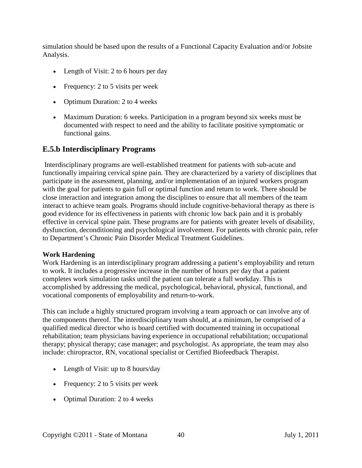simulation should be based upon the results of a Functional Capacity Evaluation and/or Jobsite Analysis.

- Length of Visit: 2 to 6 hours per day
- Frequency: 2 to 5 visits per week
- Optimum Duration: 2 to 4 weeks
- Maximum Duration: 6 weeks. Participation in a program beyond six weeks must be documented with respect to need and the ability to facilitate positive symptomatic or functional gains.

## **E.5.b Interdisciplinary Programs**

Interdisciplinary programs are well-established treatment for patients with sub-acute and functionally impairing cervical spine pain. They are characterized by a variety of disciplines that participate in the assessment, planning, and/or implementation of an injured workers program with the goal for patients to gain full or optimal function and return to work. There should be close interaction and integration among the disciplines to ensure that all members of the team interact to achieve team goals. Programs should include cognitive-behavioral therapy as there is good evidence for its effectiveness in patients with chronic low back pain and it is probably effective in cervical spine pain. These programs are for patients with greater levels of disability, dysfunction, deconditioning and psychological involvement. For patients with chronic pain, refer to Department's Chronic Pain Disorder Medical Treatment Guidelines.

#### **Work Hardening**

Work Hardening is an interdisciplinary program addressing a patient's employability and return to work. It includes a progressive increase in the number of hours per day that a patient completes work simulation tasks until the patient can tolerate a full workday. This is accomplished by addressing the medical, psychological, behavioral, physical, functional, and vocational components of employability and return-to-work.

This can include a highly structured program involving a team approach or can involve any of the components thereof. The interdisciplinary team should, at a minimum, be comprised of a qualified medical director who is board certified with documented training in occupational rehabilitation; team physicians having experience in occupational rehabilitation; occupational therapy; physical therapy; case manager; and psychologist. As appropriate, the team may also include: chiropractor, RN, vocational specialist or Certified Biofeedback Therapist.

- Length of Visit: up to 8 hours/day
- Frequency: 2 to 5 visits per week
- Optimal Duration: 2 to 4 weeks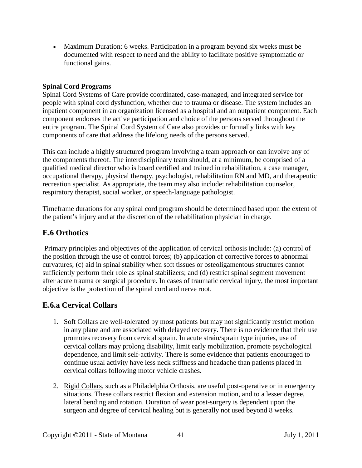• Maximum Duration: 6 weeks. Participation in a program beyond six weeks must be documented with respect to need and the ability to facilitate positive symptomatic or functional gains.

#### **Spinal Cord Programs**

Spinal Cord Systems of Care provide coordinated, case-managed, and integrated service for people with spinal cord dysfunction, whether due to trauma or disease. The system includes an inpatient component in an organization licensed as a hospital and an outpatient component. Each component endorses the active participation and choice of the persons served throughout the entire program. The Spinal Cord System of Care also provides or formally links with key components of care that address the lifelong needs of the persons served.

This can include a highly structured program involving a team approach or can involve any of the components thereof. The interdisciplinary team should, at a minimum, be comprised of a qualified medical director who is board certified and trained in rehabilitation, a case manager, occupational therapy, physical therapy, psychologist, rehabilitation RN and MD, and therapeutic recreation specialist. As appropriate, the team may also include: rehabilitation counselor, respiratory therapist, social worker, or speech-language pathologist.

Timeframe durations for any spinal cord program should be determined based upon the extent of the patient's injury and at the discretion of the rehabilitation physician in charge.

#### <span id="page-40-0"></span>**E.6 Orthotics**

Primary principles and objectives of the application of cervical orthosis include: (a) control of the position through the use of control forces; (b) application of corrective forces to abnormal curvatures; (c) aid in spinal stability when soft tissues or osteoligamentous structures cannot sufficiently perform their role as spinal stabilizers; and (d) restrict spinal segment movement after acute trauma or surgical procedure. In cases of traumatic cervical injury, the most important objective is the protection of the spinal cord and nerve root.

## **E.6.a Cervical Collars**

- 1. Soft Collars are well-tolerated by most patients but may not significantly restrict motion in any plane and are associated with delayed recovery. There is no evidence that their use promotes recovery from cervical sprain. In acute strain/sprain type injuries, use of cervical collars may prolong disability, limit early mobilization, promote psychological dependence, and limit self-activity. There is some evidence that patients encouraged to continue usual activity have less neck stiffness and headache than patients placed in cervical collars following motor vehicle crashes.
- 2. Rigid Collars, such as a Philadelphia Orthosis, are useful post-operative or in emergency situations. These collars restrict flexion and extension motion, and to a lesser degree, lateral bending and rotation. Duration of wear post-surgery is dependent upon the surgeon and degree of cervical healing but is generally not used beyond 8 weeks.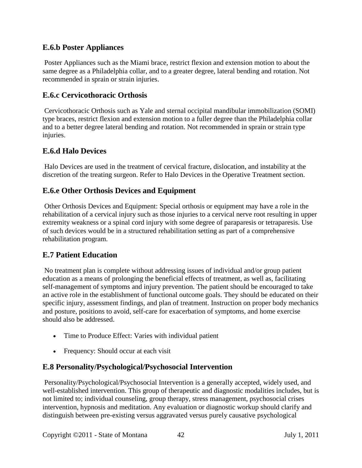#### **E.6.b Poster Appliances**

Poster Appliances such as the Miami brace, restrict flexion and extension motion to about the same degree as a Philadelphia collar, and to a greater degree, lateral bending and rotation. Not recommended in sprain or strain injuries.

#### **E.6.c Cervicothoracic Orthosis**

Cervicothoracic Orthosis such as Yale and sternal occipital mandibular immobilization (SOMI) type braces, restrict flexion and extension motion to a fuller degree than the Philadelphia collar and to a better degree lateral bending and rotation. Not recommended in sprain or strain type injuries.

## **E.6.d Halo Devices**

Halo Devices are used in the treatment of cervical fracture, dislocation, and instability at the discretion of the treating surgeon. Refer to Halo Devices in the Operative Treatment section.

## **E.6.e Other Orthosis Devices and Equipment**

Other Orthosis Devices and Equipment: Special orthosis or equipment may have a role in the rehabilitation of a cervical injury such as those injuries to a cervical nerve root resulting in upper extremity weakness or a spinal cord injury with some degree of paraparesis or tetraparesis. Use of such devices would be in a structured rehabilitation setting as part of a comprehensive rehabilitation program.

#### <span id="page-41-0"></span>**E.7 Patient Education**

No treatment plan is complete without addressing issues of individual and/or group patient education as a means of prolonging the beneficial effects of treatment, as well as, facilitating self-management of symptoms and injury prevention. The patient should be encouraged to take an active role in the establishment of functional outcome goals. They should be educated on their specific injury, assessment findings, and plan of treatment. Instruction on proper body mechanics and posture, positions to avoid, self-care for exacerbation of symptoms, and home exercise should also be addressed.

- Time to Produce Effect: Varies with individual patient
- Frequency: Should occur at each visit

#### <span id="page-41-1"></span>**E.8 Personality/Psychological/Psychosocial Intervention**

Personality/Psychological/Psychosocial Intervention is a generally accepted, widely used, and well-established intervention. This group of therapeutic and diagnostic modalities includes, but is not limited to; individual counseling, group therapy, stress management, psychosocial crises intervention, hypnosis and meditation. Any evaluation or diagnostic workup should clarify and distinguish between pre-existing versus aggravated versus purely causative psychological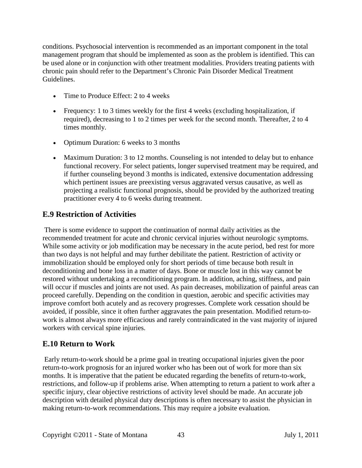conditions. Psychosocial intervention is recommended as an important component in the total management program that should be implemented as soon as the problem is identified. This can be used alone or in conjunction with other treatment modalities. Providers treating patients with chronic pain should refer to the Department's Chronic Pain Disorder Medical Treatment Guidelines.

- Time to Produce Effect: 2 to 4 weeks
- Frequency: 1 to 3 times weekly for the first 4 weeks (excluding hospitalization, if required), decreasing to 1 to 2 times per week for the second month. Thereafter, 2 to 4 times monthly.
- Optimum Duration: 6 weeks to 3 months
- Maximum Duration: 3 to 12 months. Counseling is not intended to delay but to enhance functional recovery. For select patients, longer supervised treatment may be required, and if further counseling beyond 3 months is indicated, extensive documentation addressing which pertinent issues are preexisting versus aggravated versus causative, as well as projecting a realistic functional prognosis, should be provided by the authorized treating practitioner every 4 to 6 weeks during treatment.

## <span id="page-42-0"></span>**E.9 Restriction of Activities**

There is some evidence to support the continuation of normal daily activities as the recommended treatment for acute and chronic cervical injuries without neurologic symptoms. While some activity or job modification may be necessary in the acute period, bed rest for more than two days is not helpful and may further debilitate the patient. Restriction of activity or immobilization should be employed only for short periods of time because both result in deconditioning and bone loss in a matter of days. Bone or muscle lost in this way cannot be restored without undertaking a reconditioning program. In addition, aching, stiffness, and pain will occur if muscles and joints are not used. As pain decreases, mobilization of painful areas can proceed carefully. Depending on the condition in question, aerobic and specific activities may improve comfort both acutely and as recovery progresses. Complete work cessation should be avoided, if possible, since it often further aggravates the pain presentation. Modified return-towork is almost always more efficacious and rarely contraindicated in the vast majority of injured workers with cervical spine injuries.

## <span id="page-42-1"></span>**E.10 Return to Work**

Early return-to-work should be a prime goal in treating occupational injuries given the poor return-to-work prognosis for an injured worker who has been out of work for more than six months. It is imperative that the patient be educated regarding the benefits of return-to-work, restrictions, and follow-up if problems arise. When attempting to return a patient to work after a specific injury, clear objective restrictions of activity level should be made. An accurate job description with detailed physical duty descriptions is often necessary to assist the physician in making return-to-work recommendations. This may require a jobsite evaluation.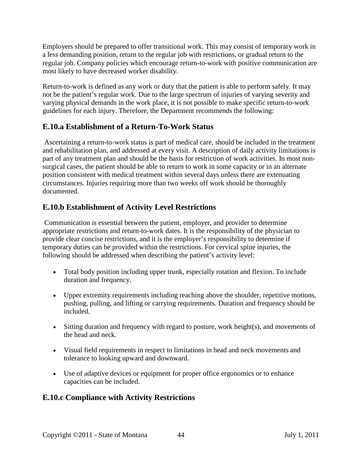Employers should be prepared to offer transitional work. This may consist of temporary work in a less demanding position, return to the regular job with restrictions, or gradual return to the regular job. Company policies which encourage return-to-work with positive communication are most likely to have decreased worker disability.

Return-to-work is defined as any work or duty that the patient is able to perform safely. It may not be the patient's regular work. Due to the large spectrum of injuries of varying severity and varying physical demands in the work place, it is not possible to make specific return-to-work guidelines for each injury. Therefore, the Department recommends the following:

#### **E.10.a Establishment of a Return-To-Work Status**

Ascertaining a return-to-work status is part of medical care, should be included in the treatment and rehabilitation plan, and addressed at every visit. A description of daily activity limitations is part of any treatment plan and should be the basis for restriction of work activities. In most nonsurgical cases, the patient should be able to return to work in some capacity or in an alternate position consistent with medical treatment within several days unless there are extenuating circumstances. Injuries requiring more than two weeks off work should be thoroughly documented.

## **E.10.b Establishment of Activity Level Restrictions**

Communication is essential between the patient, employer, and provider to determine appropriate restrictions and return-to-work dates. It is the responsibility of the physician to provide clear concise restrictions, and it is the employer's responsibility to determine if temporary duties can be provided within the restrictions. For cervical spine injuries, the following should be addressed when describing the patient's activity level:

- Total body position including upper trunk, especially rotation and flexion. To include duration and frequency.
- Upper extremity requirements including reaching above the shoulder, repetitive motions, pushing, pulling, and lifting or carrying requirements. Duration and frequency should be included.
- Sitting duration and frequency with regard to posture, work height(s), and movements of the head and neck.
- Visual field requirements in respect to limitations in head and neck movements and tolerance to looking upward and downward.
- Use of adaptive devices or equipment for proper office ergonomics or to enhance capacities can be included.

## **E.10.c Compliance with Activity Restrictions**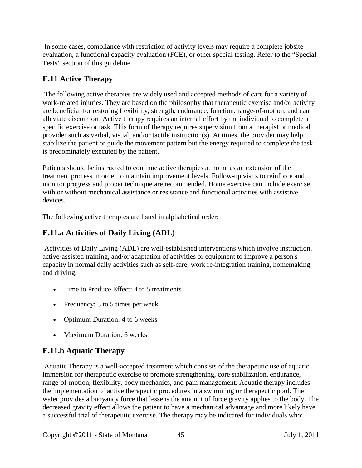In some cases, compliance with restriction of activity levels may require a complete jobsite evaluation, a functional capacity evaluation (FCE), or other special testing. Refer to the "Special Tests" section of this guideline.

## <span id="page-44-0"></span>**E.11 Active Therapy**

The following active therapies are widely used and accepted methods of care for a variety of work-related injuries. They are based on the philosophy that therapeutic exercise and/or activity are beneficial for restoring flexibility, strength, endurance, function, range-of-motion, and can alleviate discomfort. Active therapy requires an internal effort by the individual to complete a specific exercise or task. This form of therapy requires supervision from a therapist or medical provider such as verbal, visual, and/or tactile instruction(s). At times, the provider may help stabilize the patient or guide the movement pattern but the energy required to complete the task is predominately executed by the patient.

Patients should be instructed to continue active therapies at home as an extension of the treatment process in order to maintain improvement levels. Follow-up visits to reinforce and monitor progress and proper technique are recommended. Home exercise can include exercise with or without mechanical assistance or resistance and functional activities with assistive devices.

The following active therapies are listed in alphabetical order:

# **E.11.a Activities of Daily Living (ADL)**

Activities of Daily Living (ADL) are well-established interventions which involve instruction, active-assisted training, and/or adaptation of activities or equipment to improve a person's capacity in normal daily activities such as self-care, work re-integration training, homemaking, and driving.

- Time to Produce Effect: 4 to 5 treatments
- Frequency: 3 to 5 times per week
- Optimum Duration: 4 to 6 weeks
- Maximum Duration: 6 weeks

# **E.11.b Aquatic Therapy**

Aquatic Therapy is a well-accepted treatment which consists of the therapeutic use of aquatic immersion for therapeutic exercise to promote strengthening, core stabilization, endurance, range-of-motion, flexibility, body mechanics, and pain management. Aquatic therapy includes the implementation of active therapeutic procedures in a swimming or therapeutic pool. The water provides a buoyancy force that lessens the amount of force gravity applies to the body. The decreased gravity effect allows the patient to have a mechanical advantage and more likely have a successful trial of therapeutic exercise. The therapy may be indicated for individuals who: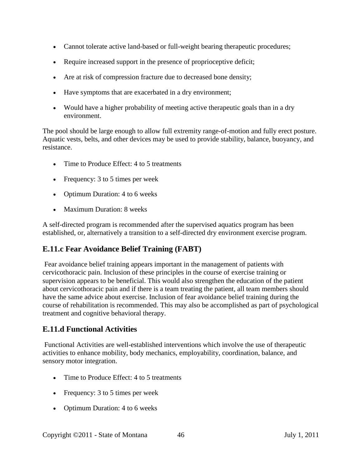- Cannot tolerate active land-based or full-weight bearing therapeutic procedures;
- Require increased support in the presence of proprioceptive deficit;
- Are at risk of compression fracture due to decreased bone density;
- Have symptoms that are exacerbated in a dry environment;
- Would have a higher probability of meeting active therapeutic goals than in a dry environment.

The pool should be large enough to allow full extremity range-of-motion and fully erect posture. Aquatic vests, belts, and other devices may be used to provide stability, balance, buoyancy, and resistance.

- Time to Produce Effect: 4 to 5 treatments
- Frequency: 3 to 5 times per week
- Optimum Duration: 4 to 6 weeks
- Maximum Duration: 8 weeks

A self-directed program is recommended after the supervised aquatics program has been established, or, alternatively a transition to a self-directed dry environment exercise program.

## **E.11.c Fear Avoidance Belief Training (FABT)**

Fear avoidance belief training appears important in the management of patients with cervicothoracic pain. Inclusion of these principles in the course of exercise training or supervision appears to be beneficial. This would also strengthen the education of the patient about cervicothoracic pain and if there is a team treating the patient, all team members should have the same advice about exercise. Inclusion of fear avoidance belief training during the course of rehabilitation is recommended. This may also be accomplished as part of psychological treatment and cognitive behavioral therapy.

## **E.11.d Functional Activities**

Functional Activities are well-established interventions which involve the use of therapeutic activities to enhance mobility, body mechanics, employability, coordination, balance, and sensory motor integration.

- Time to Produce Effect: 4 to 5 treatments
- Frequency: 3 to 5 times per week
- Optimum Duration: 4 to 6 weeks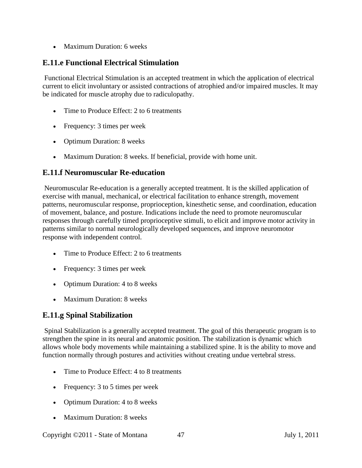• Maximum Duration: 6 weeks

## **E.11.e Functional Electrical Stimulation**

Functional Electrical Stimulation is an accepted treatment in which the application of electrical current to elicit involuntary or assisted contractions of atrophied and/or impaired muscles. It may be indicated for muscle atrophy due to radiculopathy.

- Time to Produce Effect: 2 to 6 treatments
- Frequency: 3 times per week
- Optimum Duration: 8 weeks
- Maximum Duration: 8 weeks. If beneficial, provide with home unit.

#### **E.11.f Neuromuscular Re-education**

Neuromuscular Re-education is a generally accepted treatment. It is the skilled application of exercise with manual, mechanical, or electrical facilitation to enhance strength, movement patterns, neuromuscular response, proprioception, kinesthetic sense, and coordination, education of movement, balance, and posture. Indications include the need to promote neuromuscular responses through carefully timed proprioceptive stimuli, to elicit and improve motor activity in patterns similar to normal neurologically developed sequences, and improve neuromotor response with independent control.

- Time to Produce Effect: 2 to 6 treatments
- Frequency: 3 times per week
- Optimum Duration: 4 to 8 weeks
- Maximum Duration: 8 weeks

## **E.11.g Spinal Stabilization**

Spinal Stabilization is a generally accepted treatment. The goal of this therapeutic program is to strengthen the spine in its neural and anatomic position. The stabilization is dynamic which allows whole body movements while maintaining a stabilized spine. It is the ability to move and function normally through postures and activities without creating undue vertebral stress.

- Time to Produce Effect: 4 to 8 treatments
- Frequency: 3 to 5 times per week
- Optimum Duration: 4 to 8 weeks
- Maximum Duration: 8 weeks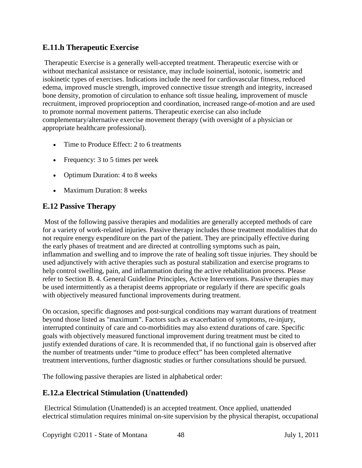#### **E.11.h Therapeutic Exercise**

Therapeutic Exercise is a generally well-accepted treatment. Therapeutic exercise with or without mechanical assistance or resistance, may include isoinertial, isotonic, isometric and isokinetic types of exercises. Indications include the need for cardiovascular fitness, reduced edema, improved muscle strength, improved connective tissue strength and integrity, increased bone density, promotion of circulation to enhance soft tissue healing, improvement of muscle recruitment, improved proprioception and coordination, increased range-of-motion and are used to promote normal movement patterns. Therapeutic exercise can also include complementary/alternative exercise movement therapy (with oversight of a physician or appropriate healthcare professional).

- Time to Produce Effect: 2 to 6 treatments
- Frequency: 3 to 5 times per week
- Optimum Duration: 4 to 8 weeks
- <span id="page-47-0"></span>• Maximum Duration: 8 weeks

#### **E.12 Passive Therapy**

Most of the following passive therapies and modalities are generally accepted methods of care for a variety of work-related injuries. Passive therapy includes those treatment modalities that do not require energy expenditure on the part of the patient. They are principally effective during the early phases of treatment and are directed at controlling symptoms such as pain, inflammation and swelling and to improve the rate of healing soft tissue injuries. They should be used adjunctively with active therapies such as postural stabilization and exercise programs to help control swelling, pain, and inflammation during the active rehabilitation process. Please refer to Section B. 4. General Guideline Principles, Active Interventions. Passive therapies may be used intermittently as a therapist deems appropriate or regularly if there are specific goals with objectively measured functional improvements during treatment.

On occasion, specific diagnoses and post-surgical conditions may warrant durations of treatment beyond those listed as "maximum". Factors such as exacerbation of symptoms, re-injury, interrupted continuity of care and co-morbidities may also extend durations of care. Specific goals with objectively measured functional improvement during treatment must be cited to justify extended durations of care. It is recommended that, if no functional gain is observed after the number of treatments under "time to produce effect" has been completed alternative treatment interventions, further diagnostic studies or further consultations should be pursued.

The following passive therapies are listed in alphabetical order:

#### **E.12.a Electrical Stimulation (Unattended)**

Electrical Stimulation (Unattended) is an accepted treatment. Once applied, unattended electrical stimulation requires minimal on-site supervision by the physical therapist, occupational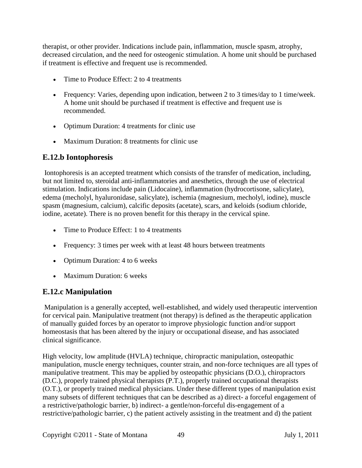therapist, or other provider. Indications include pain, inflammation, muscle spasm, atrophy, decreased circulation, and the need for osteogenic stimulation. A home unit should be purchased if treatment is effective and frequent use is recommended.

- Time to Produce Effect: 2 to 4 treatments
- Frequency: Varies, depending upon indication, between 2 to 3 times/day to 1 time/week. A home unit should be purchased if treatment is effective and frequent use is recommended.
- Optimum Duration: 4 treatments for clinic use
- Maximum Duration: 8 treatments for clinic use

#### **E.12.b Iontophoresis**

Iontophoresis is an accepted treatment which consists of the transfer of medication, including, but not limited to, steroidal anti-inflammatories and anesthetics, through the use of electrical stimulation. Indications include pain (Lidocaine), inflammation (hydrocortisone, salicylate), edema (mecholyl, hyaluronidase, salicylate), ischemia (magnesium, mecholyl, iodine), muscle spasm (magnesium, calcium), calcific deposits (acetate), scars, and keloids (sodium chloride, iodine, acetate). There is no proven benefit for this therapy in the cervical spine.

- Time to Produce Effect: 1 to 4 treatments
- Frequency: 3 times per week with at least 48 hours between treatments
- Optimum Duration: 4 to 6 weeks
- Maximum Duration: 6 weeks

#### **E.12.c Manipulation**

Manipulation is a generally accepted, well-established, and widely used therapeutic intervention for cervical pain. Manipulative treatment (not therapy) is defined as the therapeutic application of manually guided forces by an operator to improve physiologic function and/or support homeostasis that has been altered by the injury or occupational disease, and has associated clinical significance.

High velocity, low amplitude (HVLA) technique, chiropractic manipulation, osteopathic manipulation, muscle energy techniques, counter strain, and non-force techniques are all types of manipulative treatment. This may be applied by osteopathic physicians (D.O.), chiropractors (D.C.), properly trained physical therapists (P.T.), properly trained occupational therapists (O.T.), or properly trained medical physicians. Under these different types of manipulation exist many subsets of different techniques that can be described as a) direct- a forceful engagement of a restrictive/pathologic barrier, b) indirect- a gentle/non-forceful dis-engagement of a restrictive/pathologic barrier, c) the patient actively assisting in the treatment and d) the patient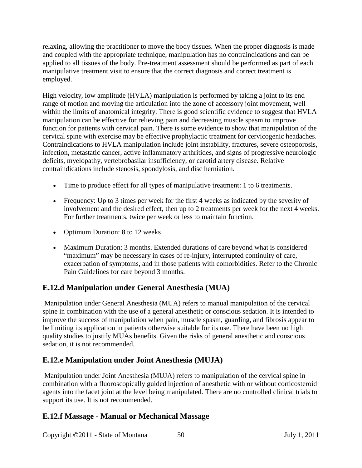relaxing, allowing the practitioner to move the body tissues. When the proper diagnosis is made and coupled with the appropriate technique, manipulation has no contraindications and can be applied to all tissues of the body. Pre-treatment assessment should be performed as part of each manipulative treatment visit to ensure that the correct diagnosis and correct treatment is employed.

High velocity, low amplitude (HVLA) manipulation is performed by taking a joint to its end range of motion and moving the articulation into the zone of accessory joint movement, well within the limits of anatomical integrity. There is good scientific evidence to suggest that HVLA manipulation can be effective for relieving pain and decreasing muscle spasm to improve function for patients with cervical pain. There is some evidence to show that manipulation of the cervical spine with exercise may be effective prophylactic treatment for cervicogenic headaches. Contraindications to HVLA manipulation include joint instability, fractures, severe osteoporosis, infection, metastatic cancer, active inflammatory arthritides, and signs of progressive neurologic deficits, myelopathy, vertebrobasilar insufficiency, or carotid artery disease. Relative contraindications include stenosis, spondylosis, and disc herniation.

- Time to produce effect for all types of manipulative treatment: 1 to 6 treatments.
- Frequency: Up to 3 times per week for the first 4 weeks as indicated by the severity of involvement and the desired effect, then up to 2 treatments per week for the next 4 weeks. For further treatments, twice per week or less to maintain function.
- Optimum Duration: 8 to 12 weeks
- Maximum Duration: 3 months. Extended durations of care beyond what is considered "maximum" may be necessary in cases of re-injury, interrupted continuity of care, exacerbation of symptoms, and in those patients with comorbidities. Refer to the Chronic Pain Guidelines for care beyond 3 months.

## **E.12.d Manipulation under General Anesthesia (MUA)**

Manipulation under General Anesthesia (MUA) refers to manual manipulation of the cervical spine in combination with the use of a general anesthetic or conscious sedation. It is intended to improve the success of manipulation when pain, muscle spasm, guarding, and fibrosis appear to be limiting its application in patients otherwise suitable for its use. There have been no high quality studies to justify MUAs benefits. Given the risks of general anesthetic and conscious sedation, it is not recommended.

## **E.12.e Manipulation under Joint Anesthesia (MUJA)**

Manipulation under Joint Anesthesia (MUJA) refers to manipulation of the cervical spine in combination with a fluoroscopically guided injection of anesthetic with or without corticosteroid agents into the facet joint at the level being manipulated. There are no controlled clinical trials to support its use. It is not recommended.

#### **E.12.f Massage - Manual or Mechanical Massage**

Copyright ©2011 - State of Montana 50 July 1, 2011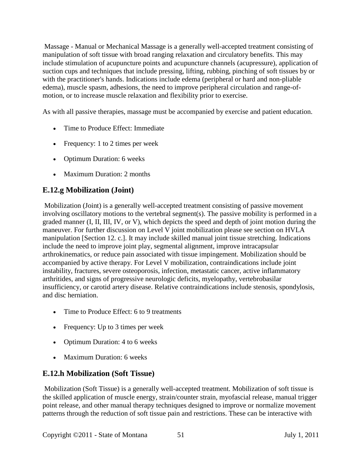Massage - Manual or Mechanical Massage is a generally well-accepted treatment consisting of manipulation of soft tissue with broad ranging relaxation and circulatory benefits. This may include stimulation of acupuncture points and acupuncture channels (acupressure), application of suction cups and techniques that include pressing, lifting, rubbing, pinching of soft tissues by or with the practitioner's hands. Indications include edema (peripheral or hard and non-pliable edema), muscle spasm, adhesions, the need to improve peripheral circulation and range-ofmotion, or to increase muscle relaxation and flexibility prior to exercise.

As with all passive therapies, massage must be accompanied by exercise and patient education.

- Time to Produce Effect: Immediate
- Frequency: 1 to 2 times per week
- Optimum Duration: 6 weeks
- Maximum Duration: 2 months

## **E.12.g Mobilization (Joint)**

Mobilization (Joint) is a generally well-accepted treatment consisting of passive movement involving oscillatory motions to the vertebral segment(s). The passive mobility is performed in a graded manner (I, II, III, IV, or V), which depicts the speed and depth of joint motion during the maneuver. For further discussion on Level V joint mobilization please see section on HVLA manipulation [Section 12. c.]. It may include skilled manual joint tissue stretching. Indications include the need to improve joint play, segmental alignment, improve intracapsular arthrokinematics, or reduce pain associated with tissue impingement. Mobilization should be accompanied by active therapy. For Level V mobilization, contraindications include joint instability, fractures, severe osteoporosis, infection, metastatic cancer, active inflammatory arthritides, and signs of progressive neurologic deficits, myelopathy, vertebrobasilar insufficiency, or carotid artery disease. Relative contraindications include stenosis, spondylosis, and disc herniation.

- Time to Produce Effect: 6 to 9 treatments
- Frequency: Up to 3 times per week
- Optimum Duration: 4 to 6 weeks
- Maximum Duration: 6 weeks

# **E.12.h Mobilization (Soft Tissue)**

Mobilization (Soft Tissue) is a generally well-accepted treatment. Mobilization of soft tissue is the skilled application of muscle energy, strain/counter strain, myofascial release, manual trigger point release, and other manual therapy techniques designed to improve or normalize movement patterns through the reduction of soft tissue pain and restrictions. These can be interactive with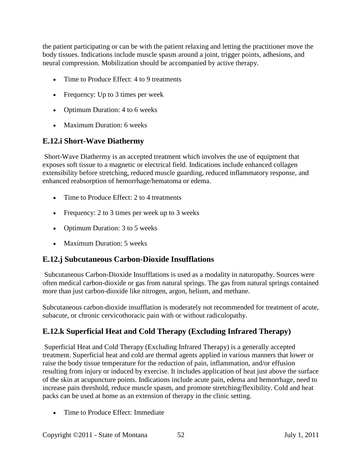the patient participating or can be with the patient relaxing and letting the practitioner move the body tissues. Indications include muscle spasm around a joint, trigger points, adhesions, and neural compression. Mobilization should be accompanied by active therapy.

- Time to Produce Effect: 4 to 9 treatments
- Frequency: Up to 3 times per week
- Optimum Duration: 4 to 6 weeks
- Maximum Duration: 6 weeks

#### **E.12.i Short-Wave Diathermy**

Short-Wave Diathermy is an accepted treatment which involves the use of equipment that exposes soft tissue to a magnetic or electrical field. Indications include enhanced collagen extensibility before stretching, reduced muscle guarding, reduced inflammatory response, and enhanced reabsorption of hemorrhage/hematoma or edema.

- Time to Produce Effect: 2 to 4 treatments
- Frequency: 2 to 3 times per week up to 3 weeks
- Optimum Duration: 3 to 5 weeks
- Maximum Duration: 5 weeks

## **E.12.j Subcutaneous Carbon-Dioxide Insufflations**

Subcutaneous Carbon-Dioxide Insufflations is used as a modality in naturopathy. Sources were often medical carbon-dioxide or gas from natural springs. The gas from natural springs contained more than just carbon-dioxide like nitrogen, argon, helium, and methane.

Subcutaneous carbon-dioxide insufflation is moderately not recommended for treatment of acute, subacute, or chronic cervicothoracic pain with or without radiculopathy.

## **E.12.k Superficial Heat and Cold Therapy (Excluding Infrared Therapy)**

Superficial Heat and Cold Therapy (Excluding Infrared Therapy) is a generally accepted treatment. Superficial heat and cold are thermal agents applied in various manners that lower or raise the body tissue temperature for the reduction of pain, inflammation, and/or effusion resulting from injury or induced by exercise. It includes application of heat just above the surface of the skin at acupuncture points. Indications include acute pain, edema and hemorrhage, need to increase pain threshold, reduce muscle spasm, and promote stretching/flexibility. Cold and heat packs can be used at home as an extension of therapy in the clinic setting.

• Time to Produce Effect: Immediate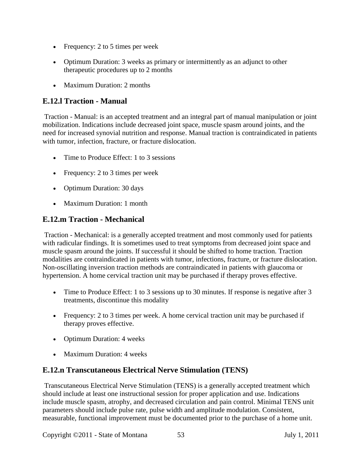- Frequency: 2 to 5 times per week
- Optimum Duration: 3 weeks as primary or intermittently as an adjunct to other therapeutic procedures up to 2 months
- Maximum Duration: 2 months

#### **E.12.l Traction - Manual**

Traction - Manual: is an accepted treatment and an integral part of manual manipulation or joint mobilization. Indications include decreased joint space, muscle spasm around joints, and the need for increased synovial nutrition and response. Manual traction is contraindicated in patients with tumor, infection, fracture, or fracture dislocation.

- Time to Produce Effect: 1 to 3 sessions
- Frequency: 2 to 3 times per week
- Optimum Duration: 30 days
- Maximum Duration: 1 month

#### **E.12.m Traction - Mechanical**

Traction - Mechanical: is a generally accepted treatment and most commonly used for patients with radicular findings. It is sometimes used to treat symptoms from decreased joint space and muscle spasm around the joints. If successful it should be shifted to home traction. Traction modalities are contraindicated in patients with tumor, infections, fracture, or fracture dislocation. Non-oscillating inversion traction methods are contraindicated in patients with glaucoma or hypertension. A home cervical traction unit may be purchased if therapy proves effective.

- Time to Produce Effect: 1 to 3 sessions up to 30 minutes. If response is negative after 3 treatments, discontinue this modality
- Frequency: 2 to 3 times per week. A home cervical traction unit may be purchased if therapy proves effective.
- Optimum Duration: 4 weeks
- Maximum Duration: 4 weeks

## **E.12.n Transcutaneous Electrical Nerve Stimulation (TENS)**

Transcutaneous Electrical Nerve Stimulation (TENS) is a generally accepted treatment which should include at least one instructional session for proper application and use. Indications include muscle spasm, atrophy, and decreased circulation and pain control. Minimal TENS unit parameters should include pulse rate, pulse width and amplitude modulation. Consistent, measurable, functional improvement must be documented prior to the purchase of a home unit.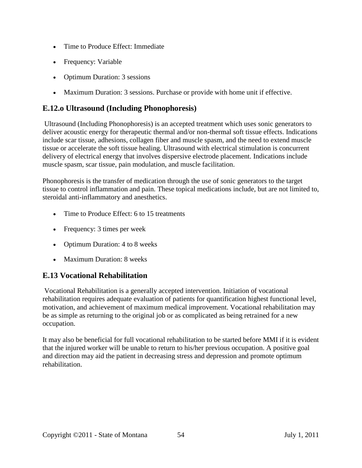- Time to Produce Effect: Immediate
- Frequency: Variable
- Optimum Duration: 3 sessions
- Maximum Duration: 3 sessions. Purchase or provide with home unit if effective.

## **E.12.o Ultrasound (Including Phonophoresis)**

Ultrasound (Including Phonophoresis) is an accepted treatment which uses sonic generators to deliver acoustic energy for therapeutic thermal and/or non-thermal soft tissue effects. Indications include scar tissue, adhesions, collagen fiber and muscle spasm, and the need to extend muscle tissue or accelerate the soft tissue healing. Ultrasound with electrical stimulation is concurrent delivery of electrical energy that involves dispersive electrode placement. Indications include muscle spasm, scar tissue, pain modulation, and muscle facilitation.

Phonophoresis is the transfer of medication through the use of sonic generators to the target tissue to control inflammation and pain. These topical medications include, but are not limited to, steroidal anti-inflammatory and anesthetics.

- Time to Produce Effect: 6 to 15 treatments
- Frequency: 3 times per week
- Optimum Duration: 4 to 8 weeks
- Maximum Duration: 8 weeks

## <span id="page-53-0"></span>**E.13 Vocational Rehabilitation**

Vocational Rehabilitation is a generally accepted intervention. Initiation of vocational rehabilitation requires adequate evaluation of patients for quantification highest functional level, motivation, and achievement of maximum medical improvement. Vocational rehabilitation may be as simple as returning to the original job or as complicated as being retrained for a new occupation.

It may also be beneficial for full vocational rehabilitation to be started before MMI if it is evident that the injured worker will be unable to return to his/her previous occupation. A positive goal and direction may aid the patient in decreasing stress and depression and promote optimum rehabilitation.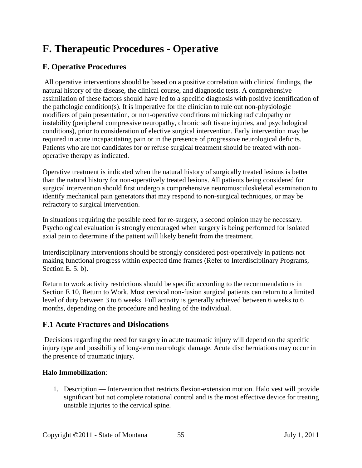# <span id="page-54-0"></span>**F. Therapeutic Procedures - Operative**

## **F. Operative Procedures**

All operative interventions should be based on a positive correlation with clinical findings, the natural history of the disease, the clinical course, and diagnostic tests. A comprehensive assimilation of these factors should have led to a specific diagnosis with positive identification of the pathologic condition(s). It is imperative for the clinician to rule out non-physiologic modifiers of pain presentation, or non-operative conditions mimicking radiculopathy or instability (peripheral compressive neuropathy, chronic soft tissue injuries, and psychological conditions), prior to consideration of elective surgical intervention. Early intervention may be required in acute incapacitating pain or in the presence of progressive neurological deficits. Patients who are not candidates for or refuse surgical treatment should be treated with nonoperative therapy as indicated.

Operative treatment is indicated when the natural history of surgically treated lesions is better than the natural history for non-operatively treated lesions. All patients being considered for surgical intervention should first undergo a comprehensive neuromusculoskeletal examination to identify mechanical pain generators that may respond to non-surgical techniques, or may be refractory to surgical intervention.

In situations requiring the possible need for re-surgery, a second opinion may be necessary. Psychological evaluation is strongly encouraged when surgery is being performed for isolated axial pain to determine if the patient will likely benefit from the treatment.

Interdisciplinary interventions should be strongly considered post-operatively in patients not making functional progress within expected time frames (Refer to Interdisciplinary Programs, Section E. 5. b).

Return to work activity restrictions should be specific according to the recommendations in Section E 10, Return to Work. Most cervical non-fusion surgical patients can return to a limited level of duty between 3 to 6 weeks. Full activity is generally achieved between 6 weeks to 6 months, depending on the procedure and healing of the individual.

## **F.1 Acute Fractures and Dislocations**

Decisions regarding the need for surgery in acute traumatic injury will depend on the specific injury type and possibility of long-term neurologic damage. Acute disc herniations may occur in the presence of traumatic injury.

#### **Halo Immobilization**:

1. Description — Intervention that restricts flexion-extension motion. Halo vest will provide significant but not complete rotational control and is the most effective device for treating unstable injuries to the cervical spine.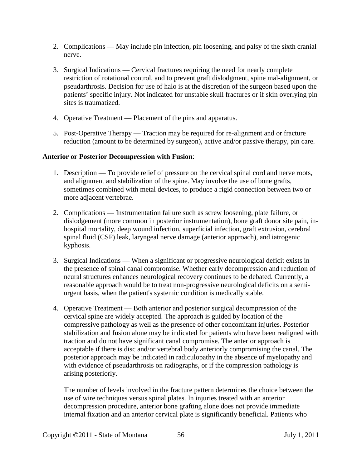- 2. Complications May include pin infection, pin loosening, and palsy of the sixth cranial nerve.
- 3. Surgical Indications Cervical fractures requiring the need for nearly complete restriction of rotational control, and to prevent graft dislodgment, spine mal-alignment, or pseudarthrosis. Decision for use of halo is at the discretion of the surgeon based upon the patients' specific injury. Not indicated for unstable skull fractures or if skin overlying pin sites is traumatized.
- 4. Operative Treatment Placement of the pins and apparatus.
- 5. Post-Operative Therapy Traction may be required for re-alignment and or fracture reduction (amount to be determined by surgeon), active and/or passive therapy, pin care.

#### **Anterior or Posterior Decompression with Fusion**:

- 1. Description To provide relief of pressure on the cervical spinal cord and nerve roots, and alignment and stabilization of the spine. May involve the use of bone grafts, sometimes combined with metal devices, to produce a rigid connection between two or more adjacent vertebrae.
- 2. Complications Instrumentation failure such as screw loosening, plate failure, or dislodgement (more common in posterior instrumentation), bone graft donor site pain, inhospital mortality, deep wound infection, superficial infection, graft extrusion, cerebral spinal fluid (CSF) leak, laryngeal nerve damage (anterior approach), and iatrogenic kyphosis.
- 3. Surgical Indications When a significant or progressive neurological deficit exists in the presence of spinal canal compromise. Whether early decompression and reduction of neural structures enhances neurological recovery continues to be debated. Currently, a reasonable approach would be to treat non-progressive neurological deficits on a semiurgent basis, when the patient's systemic condition is medically stable.
- 4. Operative Treatment Both anterior and posterior surgical decompression of the cervical spine are widely accepted. The approach is guided by location of the compressive pathology as well as the presence of other concomitant injuries. Posterior stabilization and fusion alone may be indicated for patients who have been realigned with traction and do not have significant canal compromise. The anterior approach is acceptable if there is disc and/or vertebral body anteriorly compromising the canal. The posterior approach may be indicated in radiculopathy in the absence of myelopathy and with evidence of pseudarthrosis on radiographs, or if the compression pathology is arising posteriorly.

The number of levels involved in the fracture pattern determines the choice between the use of wire techniques versus spinal plates. In injuries treated with an anterior decompression procedure, anterior bone grafting alone does not provide immediate internal fixation and an anterior cervical plate is significantly beneficial. Patients who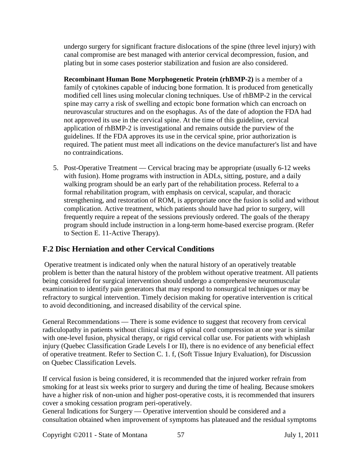undergo surgery for significant fracture dislocations of the spine (three level injury) with canal compromise are best managed with anterior cervical decompression, fusion, and plating but in some cases posterior stabilization and fusion are also considered.

**Recombinant Human Bone Morphogenetic Protein (rhBMP-2)** is a member of a family of cytokines capable of inducing bone formation. It is produced from genetically modified cell lines using molecular cloning techniques. Use of rhBMP-2 in the cervical spine may carry a risk of swelling and ectopic bone formation which can encroach on neurovascular structures and on the esophagus. As of the date of adoption the FDA had not approved its use in the cervical spine. At the time of this guideline, cervical application of rhBMP-2 is investigational and remains outside the purview of the guidelines. If the FDA approves its use in the cervical spine, prior authorization is required. The patient must meet all indications on the device manufacturer's list and have no contraindications.

5. Post-Operative Treatment — Cervical bracing may be appropriate (usually 6-12 weeks with fusion). Home programs with instruction in ADLs, sitting, posture, and a daily walking program should be an early part of the rehabilitation process. Referral to a formal rehabilitation program, with emphasis on cervical, scapular, and thoracic strengthening, and restoration of ROM, is appropriate once the fusion is solid and without complication. Active treatment, which patients should have had prior to surgery, will frequently require a repeat of the sessions previously ordered. The goals of the therapy program should include instruction in a long-term home-based exercise program. (Refer to Section E. 11-Active Therapy).

# **F.2 Disc Herniation and other Cervical Conditions**

Operative treatment is indicated only when the natural history of an operatively treatable problem is better than the natural history of the problem without operative treatment. All patients being considered for surgical intervention should undergo a comprehensive neuromuscular examination to identify pain generators that may respond to nonsurgical techniques or may be refractory to surgical intervention. Timely decision making for operative intervention is critical to avoid deconditioning, and increased disability of the cervical spine.

General Recommendations — There is some evidence to suggest that recovery from cervical radiculopathy in patients without clinical signs of spinal cord compression at one year is similar with one-level fusion, physical therapy, or rigid cervical collar use. For patients with whiplash injury (Quebec Classification Grade Levels I or II), there is no evidence of any beneficial effect of operative treatment. Refer to Section C. 1. f, (Soft Tissue Injury Evaluation), for Discussion on Quebec Classification Levels.

If cervical fusion is being considered, it is recommended that the injured worker refrain from smoking for at least six weeks prior to surgery and during the time of healing. Because smokers have a higher risk of non-union and higher post-operative costs, it is recommended that insurers cover a smoking cessation program peri-operatively.

General Indications for Surgery — Operative intervention should be considered and a consultation obtained when improvement of symptoms has plateaued and the residual symptoms

Copyright ©2011 - State of Montana 57 July 1, 2011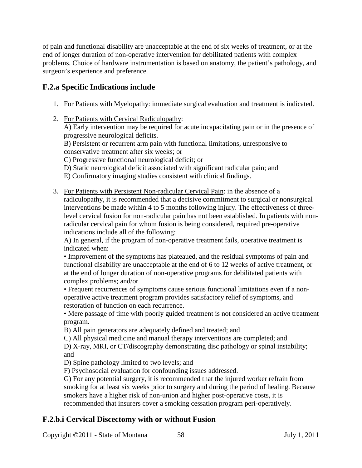of pain and functional disability are unacceptable at the end of six weeks of treatment, or at the end of longer duration of non-operative intervention for debilitated patients with complex problems. Choice of hardware instrumentation is based on anatomy, the patient's pathology, and surgeon's experience and preference.

## **F.2.a Specific Indications include**

- 1. For Patients with Myelopathy: immediate surgical evaluation and treatment is indicated.
- 2. For Patients with Cervical Radiculopathy:

A) Early intervention may be required for acute incapacitating pain or in the presence of progressive neurological deficits.

B) Persistent or recurrent arm pain with functional limitations, unresponsive to conservative treatment after six weeks; or

C) Progressive functional neurological deficit; or

D) Static neurological deficit associated with significant radicular pain; and

E) Confirmatory imaging studies consistent with clinical findings.

3. For Patients with Persistent Non-radicular Cervical Pain: in the absence of a radiculopathy, it is recommended that a decisive commitment to surgical or nonsurgical interventions be made within 4 to 5 months following injury. The effectiveness of threelevel cervical fusion for non-radicular pain has not been established. In patients with nonradicular cervical pain for whom fusion is being considered, required pre-operative indications include all of the following:

A) In general, if the program of non-operative treatment fails, operative treatment is indicated when:

• Improvement of the symptoms has plateaued, and the residual symptoms of pain and functional disability are unacceptable at the end of 6 to 12 weeks of active treatment, or at the end of longer duration of non-operative programs for debilitated patients with complex problems; and/or

• Frequent recurrences of symptoms cause serious functional limitations even if a nonoperative active treatment program provides satisfactory relief of symptoms, and restoration of function on each recurrence.

• Mere passage of time with poorly guided treatment is not considered an active treatment program.

B) All pain generators are adequately defined and treated; and

C) All physical medicine and manual therapy interventions are completed; and

D) X-ray, MRI, or CT/discography demonstrating disc pathology or spinal instability; and

D) Spine pathology limited to two levels; and

F) Psychosocial evaluation for confounding issues addressed.

G) For any potential surgery, it is recommended that the injured worker refrain from smoking for at least six weeks prior to surgery and during the period of healing. Because smokers have a higher risk of non-union and higher post-operative costs, it is recommended that insurers cover a smoking cessation program peri-operatively.

## **F.2.b.i Cervical Discectomy with or without Fusion**

Copyright ©2011 - State of Montana 58 July 1, 2011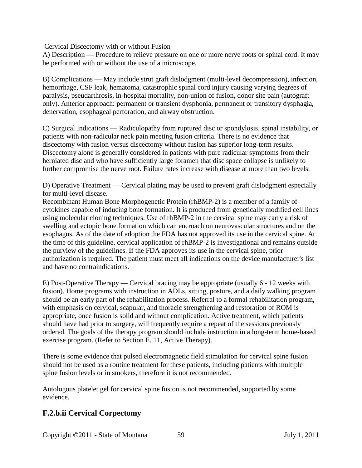Cervical Discectomy with or without Fusion

A) Description — Procedure to relieve pressure on one or more nerve roots or spinal cord. It may be performed with or without the use of a microscope.

B) Complications — May include strut graft dislodgment (multi-level decompression), infection, hemorrhage, CSF leak, hematoma, catastrophic spinal cord injury causing varying degrees of paralysis, pseudarthrosis, in-hospital mortality, non-union of fusion, donor site pain (autograft only). Anterior approach: permanent or transient dysphonia, permanent or transitory dysphagia, denervation, esophageal perforation, and airway obstruction.

C) Surgical Indications — Radiculopathy from ruptured disc or spondylosis, spinal instability, or patients with non-radicular neck pain meeting fusion criteria. There is no evidence that discectomy with fusion versus discectomy without fusion has superior long-term results. Discectomy alone is generally considered in patients with pure radicular symptoms from their herniated disc and who have sufficiently large foramen that disc space collapse is unlikely to further compromise the nerve root. Failure rates increase with disease at more than two levels.

D) Operative Treatment — Cervical plating may be used to prevent graft dislodgment especially for multi-level disease.

Recombinant Human Bone Morphogenetic Protein (rhBMP-2) is a member of a family of cytokines capable of inducing bone formation. It is produced from genetically modified cell lines using molecular cloning techniques. Use of rhBMP-2 in the cervical spine may carry a risk of swelling and ectopic bone formation which can encroach on neurovascular structures and on the esophagus. As of the date of adoption the FDA has not approved its use in the cervical spine. At the time of this guideline, cervical application of rhBMP-2 is investigational and remains outside the purview of the guidelines. If the FDA approves its use in the cervical spine, prior authorization is required. The patient must meet all indications on the device manufacturer's list and have no contraindications.

E) Post-Operative Therapy — Cervical bracing may be appropriate (usually 6 - 12 weeks with fusion). Home programs with instruction in ADLs, sitting, posture, and a daily walking program should be an early part of the rehabilitation process. Referral to a formal rehabilitation program, with emphasis on cervical, scapular, and thoracic strengthening and restoration of ROM is appropriate, once fusion is solid and without complication. Active treatment, which patients should have had prior to surgery, will frequently require a repeat of the sessions previously ordered. The goals of the therapy program should include instruction in a long-term home-based exercise program. (Refer to Section E. 11, Active Therapy).

There is some evidence that pulsed electromagnetic field stimulation for cervical spine fusion should not be used as a routine treatment for these patients, including patients with multiple spine fusion levels or in smokers, therefore it is not recommended.

Autologous platelet gel for cervical spine fusion is not recommended, supported by some evidence.

## **F.2.b.ii Cervical Corpectomy**

Copyright ©2011 - State of Montana 59 July 1, 2011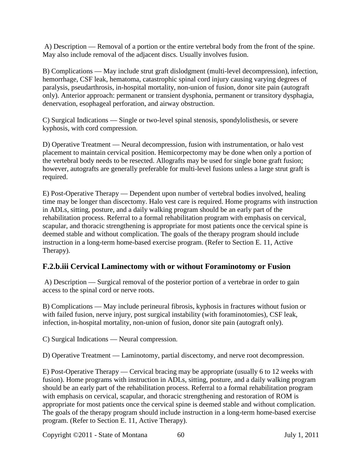A) Description — Removal of a portion or the entire vertebral body from the front of the spine. May also include removal of the adjacent discs. Usually involves fusion.

B) Complications — May include strut graft dislodgment (multi-level decompression), infection, hemorrhage, CSF leak, hematoma, catastrophic spinal cord injury causing varying degrees of paralysis, pseudarthrosis, in-hospital mortality, non-union of fusion, donor site pain (autograft only). Anterior approach: permanent or transient dysphonia, permanent or transitory dysphagia, denervation, esophageal perforation, and airway obstruction.

C) Surgical Indications — Single or two-level spinal stenosis, spondylolisthesis, or severe kyphosis, with cord compression.

D) Operative Treatment — Neural decompression, fusion with instrumentation, or halo vest placement to maintain cervical position. Hemicorpectomy may be done when only a portion of the vertebral body needs to be resected. Allografts may be used for single bone graft fusion; however, autografts are generally preferable for multi-level fusions unless a large strut graft is required.

E) Post-Operative Therapy — Dependent upon number of vertebral bodies involved, healing time may be longer than discectomy. Halo vest care is required. Home programs with instruction in ADLs, sitting, posture, and a daily walking program should be an early part of the rehabilitation process. Referral to a formal rehabilitation program with emphasis on cervical, scapular, and thoracic strengthening is appropriate for most patients once the cervical spine is deemed stable and without complication. The goals of the therapy program should include instruction in a long-term home-based exercise program. (Refer to Section E. 11, Active Therapy).

# **F.2.b.iii Cervical Laminectomy with or without Foraminotomy or Fusion**

A) Description — Surgical removal of the posterior portion of a vertebrae in order to gain access to the spinal cord or nerve roots.

B) Complications — May include perineural fibrosis, kyphosis in fractures without fusion or with failed fusion, nerve injury, post surgical instability (with foraminotomies), CSF leak, infection, in-hospital mortality, non-union of fusion, donor site pain (autograft only).

C) Surgical Indications — Neural compression.

D) Operative Treatment — Laminotomy, partial discectomy, and nerve root decompression.

E) Post-Operative Therapy — Cervical bracing may be appropriate (usually 6 to 12 weeks with fusion). Home programs with instruction in ADLs, sitting, posture, and a daily walking program should be an early part of the rehabilitation process. Referral to a formal rehabilitation program with emphasis on cervical, scapular, and thoracic strengthening and restoration of ROM is appropriate for most patients once the cervical spine is deemed stable and without complication. The goals of the therapy program should include instruction in a long-term home-based exercise program. (Refer to Section E. 11, Active Therapy).

Copyright ©2011 - State of Montana 60 July 1, 2011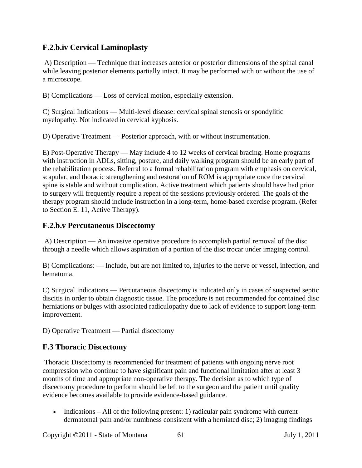## **F.2.b.iv Cervical Laminoplasty**

A) Description — Technique that increases anterior or posterior dimensions of the spinal canal while leaving posterior elements partially intact. It may be performed with or without the use of a microscope.

B) Complications — Loss of cervical motion, especially extension.

C) Surgical Indications — Multi-level disease: cervical spinal stenosis or spondylitic myelopathy. Not indicated in cervical kyphosis.

D) Operative Treatment — Posterior approach, with or without instrumentation.

E) Post-Operative Therapy — May include 4 to 12 weeks of cervical bracing. Home programs with instruction in ADLs, sitting, posture, and daily walking program should be an early part of the rehabilitation process. Referral to a formal rehabilitation program with emphasis on cervical, scapular, and thoracic strengthening and restoration of ROM is appropriate once the cervical spine is stable and without complication. Active treatment which patients should have had prior to surgery will frequently require a repeat of the sessions previously ordered. The goals of the therapy program should include instruction in a long-term, home-based exercise program. (Refer to Section E. 11, Active Therapy).

#### **F.2.b.v Percutaneous Discectomy**

A) Description — An invasive operative procedure to accomplish partial removal of the disc through a needle which allows aspiration of a portion of the disc trocar under imaging control.

B) Complications: — Include, but are not limited to, injuries to the nerve or vessel, infection, and hematoma.

C) Surgical Indications — Percutaneous discectomy is indicated only in cases of suspected septic discitis in order to obtain diagnostic tissue. The procedure is not recommended for contained disc herniations or bulges with associated radiculopathy due to lack of evidence to support long-term improvement.

D) Operative Treatment — Partial discectomy

#### **F.3 Thoracic Discectomy**

Thoracic Discectomy is recommended for treatment of patients with ongoing nerve root compression who continue to have significant pain and functional limitation after at least 3 months of time and appropriate non-operative therapy. The decision as to which type of discectomy procedure to perform should be left to the surgeon and the patient until quality evidence becomes available to provide evidence-based guidance.

• Indications – All of the following present: 1) radicular pain syndrome with current dermatomal pain and/or numbness consistent with a herniated disc; 2) imaging findings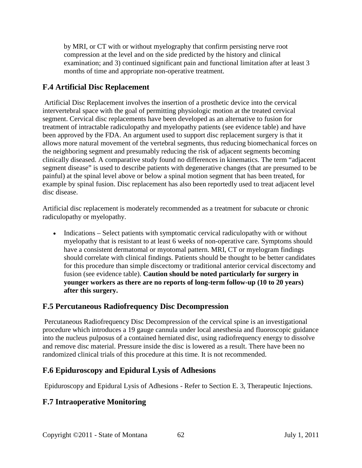by MRI, or CT with or without myelography that confirm persisting nerve root compression at the level and on the side predicted by the history and clinical examination; and 3) continued significant pain and functional limitation after at least 3 months of time and appropriate non-operative treatment.

## **F.4 Artificial Disc Replacement**

Artificial Disc Replacement involves the insertion of a prosthetic device into the cervical intervertebral space with the goal of permitting physiologic motion at the treated cervical segment. Cervical disc replacements have been developed as an alternative to fusion for treatment of intractable radiculopathy and myelopathy patients (see evidence table) and have been approved by the FDA. An argument used to support disc replacement surgery is that it allows more natural movement of the vertebral segments, thus reducing biomechanical forces on the neighboring segment and presumably reducing the risk of adjacent segments becoming clinically diseased. A comparative study found no differences in kinematics. The term "adjacent segment disease" is used to describe patients with degenerative changes (that are presumed to be painful) at the spinal level above or below a spinal motion segment that has been treated, for example by spinal fusion. Disc replacement has also been reportedly used to treat adjacent level disc disease.

Artificial disc replacement is moderately recommended as a treatment for subacute or chronic radiculopathy or myelopathy.

• Indications – Select patients with symptomatic cervical radiculopathy with or without myelopathy that is resistant to at least 6 weeks of non-operative care. Symptoms should have a consistent dermatomal or myotomal pattern. MRI, CT or myelogram findings should correlate with clinical findings. Patients should be thought to be better candidates for this procedure than simple discectomy or traditional anterior cervical discectomy and fusion (see evidence table). **Caution should be noted particularly for surgery in younger workers as there are no reports of long-term follow-up (10 to 20 years) after this surgery.** 

#### **F.5 Percutaneous Radiofrequency Disc Decompression**

Percutaneous Radiofrequency Disc Decompression of the cervical spine is an investigational procedure which introduces a 19 gauge cannula under local anesthesia and fluoroscopic guidance into the nucleus pulposus of a contained herniated disc, using radiofrequency energy to dissolve and remove disc material. Pressure inside the disc is lowered as a result. There have been no randomized clinical trials of this procedure at this time. It is not recommended.

#### **F.6 Epiduroscopy and Epidural Lysis of Adhesions**

Epiduroscopy and Epidural Lysis of Adhesions - Refer to Section E. 3, Therapeutic Injections.

## **F.7 Intraoperative Monitoring**